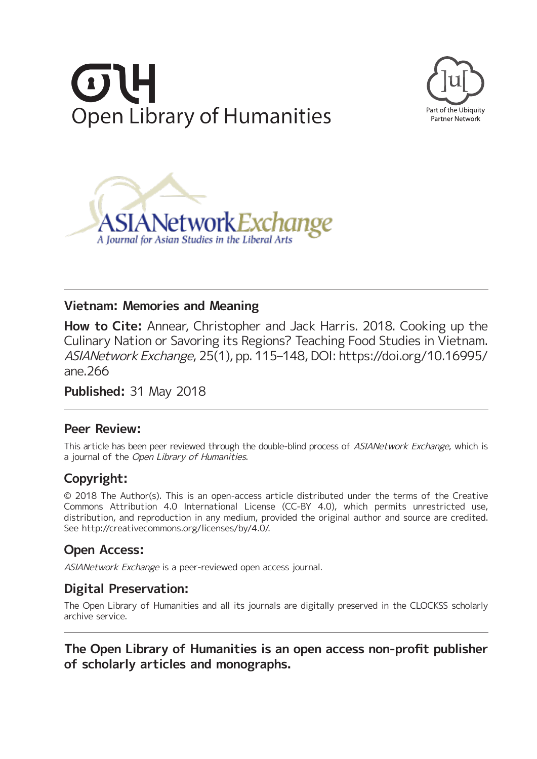





## **Vietnam: Memories and Meaning**

**How to Cite:** Annear, Christopher and Jack Harris. 2018. Cooking up the Culinary Nation or Savoring its Regions? Teaching Food Studies in Vietnam. ASIANetwork Exchange, 25(1), pp. 115–148, DOI: [https://doi.org/10.16995/](https://doi.org/10.16995/ane.266) [ane.266](https://doi.org/10.16995/ane.266)

**Published:** 31 May 2018

## **Peer Review:**

This article has been peer reviewed through the double-blind process of ASIANetwork Exchange, which is a journal of the Open Library of Humanities.

# **Copyright:**

© 2018 The Author(s). This is an open-access article distributed under the terms of the Creative Commons Attribution 4.0 International License (CC-BY 4.0), which permits unrestricted use, distribution, and reproduction in any medium, provided the original author and source are credited. See [http://creativecommons.org/licenses/by/4.0/.](http://creativecommons.org/licenses/by/4.0/)

## **Open Access:**

ASIANetwork Exchange is a peer-reviewed open access journal.

## **Digital Preservation:**

The Open Library of Humanities and all its journals are digitally preserved in the CLOCKSS scholarly archive service.

## **The Open Library of Humanities is an open access non-profit publisher of scholarly articles and monographs.**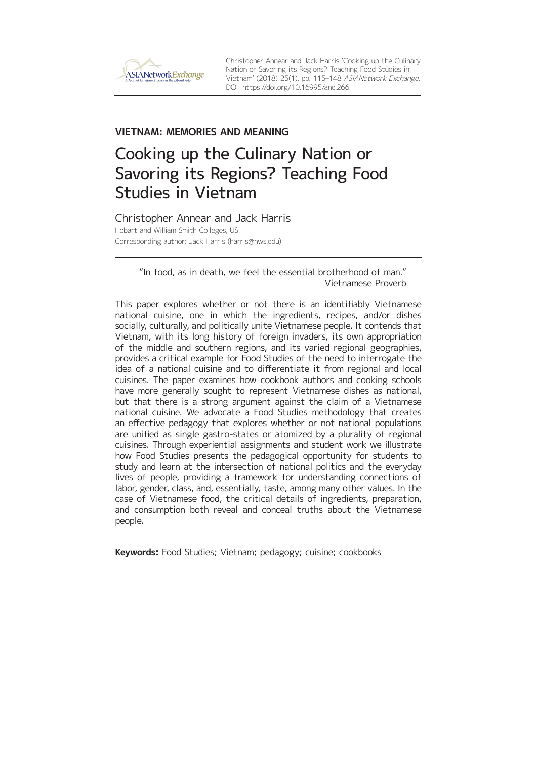

Christopher Annear and Jack Harris 'Cooking up the Culinary Nation or Savoring its Regions? Teaching Food Studies in Vietnam' (2018) 25(1), pp. 115–148 ASIANetwork Exchange, DOI:<https://doi.org/10.16995/ane.266>

## **VIETNAM: MEMORIES AND MEANING**

# Cooking up the Culinary Nation or Savoring its Regions? Teaching Food Studies in Vietnam

Christopher Annear and Jack Harris Hobart and William Smith Colleges, US Corresponding author: Jack Harris [\(harris@hws.edu](mailto:harris@hws.edu))

#### "In food, as in death, we feel the essential brotherhood of man." Vietnamese Proverb

This paper explores whether or not there is an identifiably Vietnamese national cuisine, one in which the ingredients, recipes, and/or dishes socially, culturally, and politically unite Vietnamese people. It contends that Vietnam, with its long history of foreign invaders, its own appropriation of the middle and southern regions, and its varied regional geographies, provides a critical example for Food Studies of the need to interrogate the idea of a national cuisine and to differentiate it from regional and local cuisines. The paper examines how cookbook authors and cooking schools have more generally sought to represent Vietnamese dishes as national, but that there is a strong argument against the claim of a Vietnamese national cuisine. We advocate a Food Studies methodology that creates an effective pedagogy that explores whether or not national populations are unified as single gastro-states or atomized by a plurality of regional cuisines. Through experiential assignments and student work we illustrate how Food Studies presents the pedagogical opportunity for students to study and learn at the intersection of national politics and the everyday lives of people, providing a framework for understanding connections of labor, gender, class, and, essentially, taste, among many other values. In the case of Vietnamese food, the critical details of ingredients, preparation, and consumption both reveal and conceal truths about the Vietnamese people.

**Keywords:** Food Studies; Vietnam; pedagogy; cuisine; cookbooks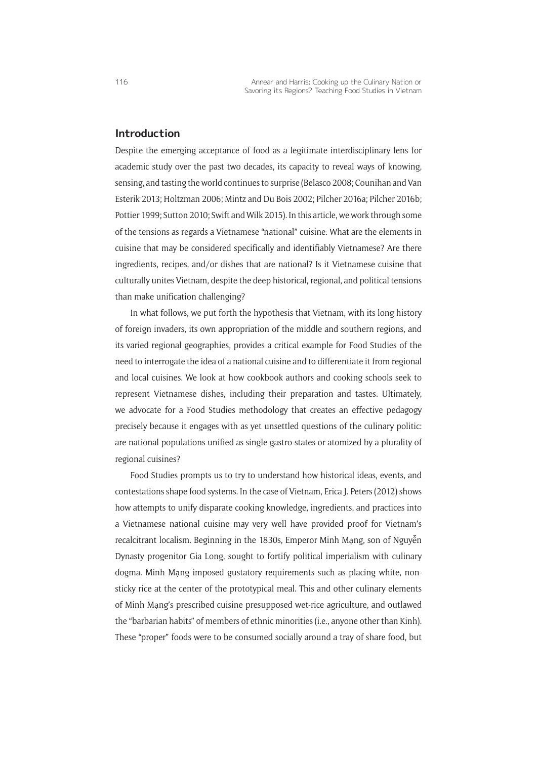#### **Introduction**

Despite the emerging acceptance of food as a legitimate interdisciplinary lens for academic study over the past two decades, its capacity to reveal ways of knowing, sensing, and tasting the world continues to surprise (Belasco 2008; Counihan and Van Esterik 2013; Holtzman 2006; Mintz and Du Bois 2002; Pilcher 2016a; Pilcher 2016b; Pottier 1999; Sutton 2010; Swift and Wilk 2015). In this article, we work through some of the tensions as regards a Vietnamese "national" cuisine. What are the elements in cuisine that may be considered specifically and identifiably Vietnamese? Are there ingredients, recipes, and/or dishes that are national? Is it Vietnamese cuisine that culturally unites Vietnam, despite the deep historical, regional, and political tensions than make unification challenging?

In what follows, we put forth the hypothesis that Vietnam, with its long history of foreign invaders, its own appropriation of the middle and southern regions, and its varied regional geographies, provides a critical example for Food Studies of the need to interrogate the idea of a national cuisine and to differentiate it from regional and local cuisines. We look at how cookbook authors and cooking schools seek to represent Vietnamese dishes, including their preparation and tastes. Ultimately, we advocate for a Food Studies methodology that creates an effective pedagogy precisely because it engages with as yet unsettled questions of the culinary politic: are national populations unified as single gastro-states or atomized by a plurality of regional cuisines?

Food Studies prompts us to try to understand how historical ideas, events, and contestations shape food systems. In the case of Vietnam, Erica J. Peters (2012) shows how attempts to unify disparate cooking knowledge, ingredients, and practices into a Vietnamese national cuisine may very well have provided proof for Vietnam's recalcitrant localism. Beginning in the 1830s, Emperor Minh Mạng, son of Nguyễn Dynasty progenitor Gia Long, sought to fortify political imperialism with culinary dogma. Minh Mạng imposed gustatory requirements such as placing white, nonsticky rice at the center of the prototypical meal. This and other culinary elements of Minh Mạng's prescribed cuisine presupposed wet-rice agriculture, and outlawed the "barbarian habits" of members of ethnic minorities (i.e., anyone other than Kinh). These "proper" foods were to be consumed socially around a tray of share food, but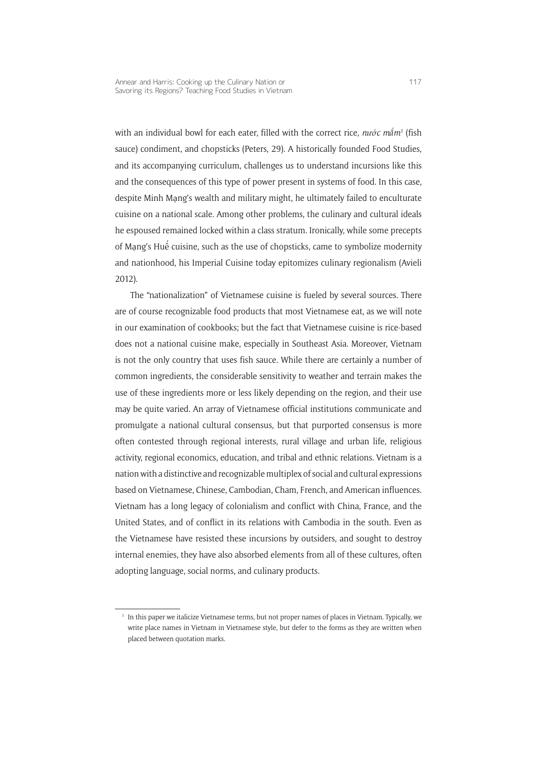with an individual bowl for each eater, filled with the correct rice, *nước mắm*<sup>1</sup> (fish sauce) condiment, and chopsticks (Peters, 29). A historically founded Food Studies, and its accompanying curriculum, challenges us to understand incursions like this and the consequences of this type of power present in systems of food. In this case, despite Minh Mạng's wealth and military might, he ultimately failed to enculturate cuisine on a national scale. Among other problems, the culinary and cultural ideals he espoused remained locked within a class stratum. Ironically, while some precepts of Mạng's Huế cuisine, such as the use of chopsticks, came to symbolize modernity and nationhood, his Imperial Cuisine today epitomizes culinary regionalism (Avieli 2012).

The "nationalization" of Vietnamese cuisine is fueled by several sources. There are of course recognizable food products that most Vietnamese eat, as we will note in our examination of cookbooks; but the fact that Vietnamese cuisine is rice-based does not a national cuisine make, especially in Southeast Asia. Moreover, Vietnam is not the only country that uses fish sauce. While there are certainly a number of common ingredients, the considerable sensitivity to weather and terrain makes the use of these ingredients more or less likely depending on the region, and their use may be quite varied. An array of Vietnamese official institutions communicate and promulgate a national cultural consensus, but that purported consensus is more often contested through regional interests, rural village and urban life, religious activity, regional economics, education, and tribal and ethnic relations. Vietnam is a nation with a distinctive and recognizable multiplex of social and cultural expressions based on Vietnamese, Chinese, Cambodian, Cham, French, and American influences. Vietnam has a long legacy of colonialism and conflict with China, France, and the United States, and of conflict in its relations with Cambodia in the south. Even as the Vietnamese have resisted these incursions by outsiders, and sought to destroy internal enemies, they have also absorbed elements from all of these cultures, often adopting language, social norms, and culinary products.

<sup>&</sup>lt;sup>1</sup> In this paper we italicize Vietnamese terms, but not proper names of places in Vietnam. Typically, we write place names in Vietnam in Vietnamese style, but defer to the forms as they are written when placed between quotation marks.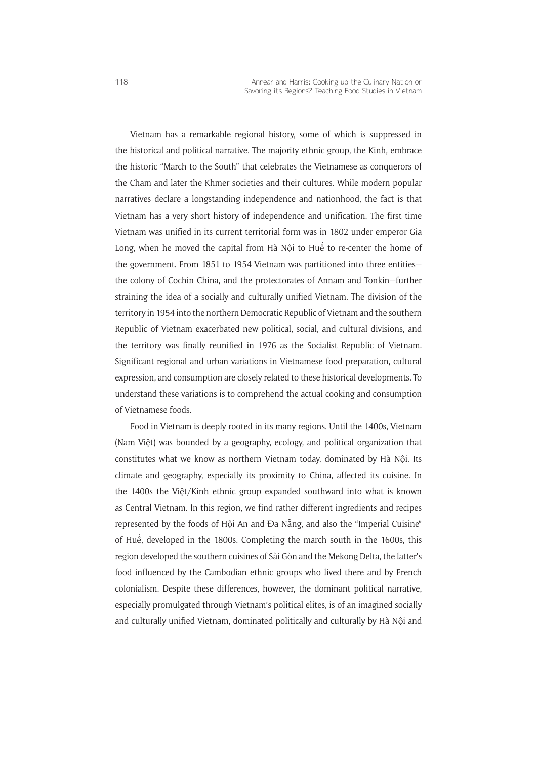Vietnam has a remarkable regional history, some of which is suppressed in the historical and political narrative. The majority ethnic group, the Kinh, embrace the historic "March to the South" that celebrates the Vietnamese as conquerors of the Cham and later the Khmer societies and their cultures. While modern popular narratives declare a longstanding independence and nationhood, the fact is that Vietnam has a very short history of independence and unification. The first time Vietnam was unified in its current territorial form was in 1802 under emperor Gia Long, when he moved the capital from Hà Nội to Huế to re-center the home of the government. From 1851 to 1954 Vietnam was partitioned into three entities the colony of Cochin China, and the protectorates of Annam and Tonkin—further straining the idea of a socially and culturally unified Vietnam. The division of the territory in 1954 into the northern Democratic Republic of Vietnam and the southern Republic of Vietnam exacerbated new political, social, and cultural divisions, and the territory was finally reunified in 1976 as the Socialist Republic of Vietnam. Significant regional and urban variations in Vietnamese food preparation, cultural expression, and consumption are closely related to these historical developments. To understand these variations is to comprehend the actual cooking and consumption of Vietnamese foods.

Food in Vietnam is deeply rooted in its many regions. Until the 1400s, Vietnam (Nam Việt) was bounded by a geography, ecology, and political organization that constitutes what we know as northern Vietnam today, dominated by Hà Nội. Its climate and geography, especially its proximity to China, affected its cuisine. In the 1400s the Việt/Kinh ethnic group expanded southward into what is known as Central Vietnam. In this region, we find rather different ingredients and recipes represented by the foods of Hội An and Đa Nẵng, and also the "Imperial Cuisine" of Huế, developed in the 1800s. Completing the march south in the 1600s, this region developed the southern cuisines of Sài Gòn and the Mekong Delta, the latter's food influenced by the Cambodian ethnic groups who lived there and by French colonialism. Despite these differences, however, the dominant political narrative, especially promulgated through Vietnam's political elites, is of an imagined socially and culturally unified Vietnam, dominated politically and culturally by Hà Nội and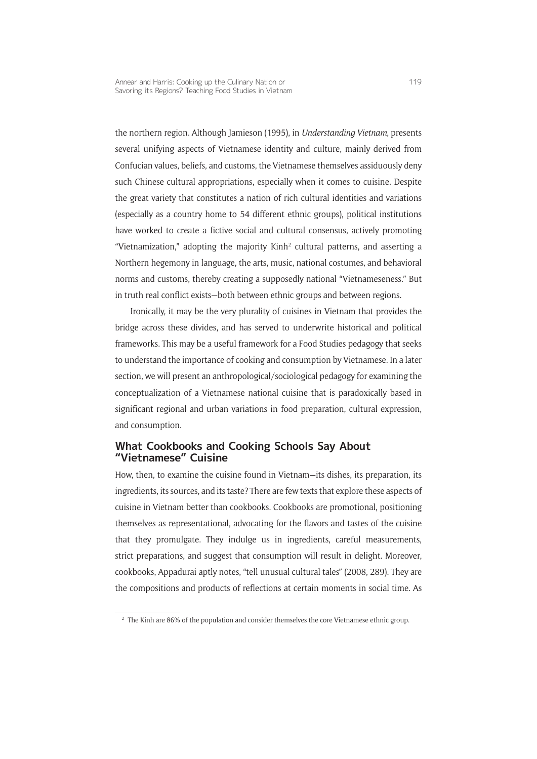the northern region. Although Jamieson (1995), in *Understanding Vietnam*, presents several unifying aspects of Vietnamese identity and culture, mainly derived from Confucian values, beliefs, and customs, the Vietnamese themselves assiduously deny such Chinese cultural appropriations, especially when it comes to cuisine. Despite the great variety that constitutes a nation of rich cultural identities and variations (especially as a country home to 54 different ethnic groups), political institutions have worked to create a fictive social and cultural consensus, actively promoting "Vietnamization," adopting the majority Kinh<sup>2</sup> cultural patterns, and asserting a Northern hegemony in language, the arts, music, national costumes, and behavioral norms and customs, thereby creating a supposedly national "Vietnameseness." But in truth real conflict exists—both between ethnic groups and between regions.

Ironically, it may be the very plurality of cuisines in Vietnam that provides the bridge across these divides, and has served to underwrite historical and political frameworks. This may be a useful framework for a Food Studies pedagogy that seeks to understand the importance of cooking and consumption by Vietnamese. In a later section, we will present an anthropological/sociological pedagogy for examining the conceptualization of a Vietnamese national cuisine that is paradoxically based in significant regional and urban variations in food preparation, cultural expression, and consumption.

#### **What Cookbooks and Cooking Schools Say About "Vietnamese" Cuisine**

How, then, to examine the cuisine found in Vietnam—its dishes, its preparation, its ingredients, its sources, and its taste? There are few texts that explore these aspects of cuisine in Vietnam better than cookbooks. Cookbooks are promotional, positioning themselves as representational, advocating for the flavors and tastes of the cuisine that they promulgate. They indulge us in ingredients, careful measurements, strict preparations, and suggest that consumption will result in delight. Moreover, cookbooks, Appadurai aptly notes, "tell unusual cultural tales" (2008, 289). They are the compositions and products of reflections at certain moments in social time. As

 $2$  The Kinh are 86% of the population and consider themselves the core Vietnamese ethnic group.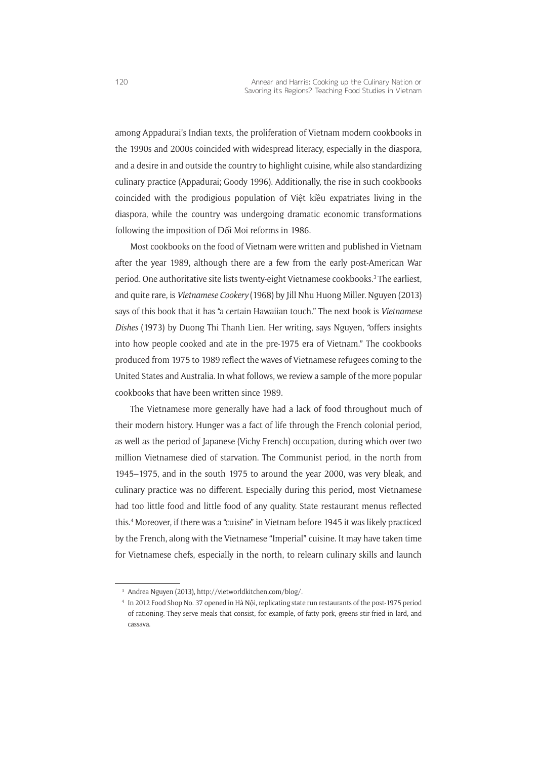among Appadurai's Indian texts, the proliferation of Vietnam modern cookbooks in the 1990s and 2000s coincided with widespread literacy, especially in the diaspora, and a desire in and outside the country to highlight cuisine, while also standardizing culinary practice (Appadurai; Goody 1996). Additionally, the rise in such cookbooks coincided with the prodigious population of Việt kiều expatriates living in the diaspora, while the country was undergoing dramatic economic transformations following the imposition of Đổi Moi reforms in 1986.

Most cookbooks on the food of Vietnam were written and published in Vietnam after the year 1989, although there are a few from the early post-American War period. One authoritative site lists twenty-eight Vietnamese cookbooks.<sup>3</sup> The earliest, and quite rare, is *Vietnamese Cookery* (1968) by Jill Nhu Huong Miller. Nguyen (2013) says of this book that it has "a certain Hawaiian touch." The next book is *Vietnamese Dishes* (1973) by Duong Thi Thanh Lien. Her writing, says Nguyen, "offers insights into how people cooked and ate in the pre-1975 era of Vietnam." The cookbooks produced from 1975 to 1989 reflect the waves of Vietnamese refugees coming to the United States and Australia. In what follows, we review a sample of the more popular cookbooks that have been written since 1989.

The Vietnamese more generally have had a lack of food throughout much of their modern history. Hunger was a fact of life through the French colonial period, as well as the period of Japanese (Vichy French) occupation, during which over two million Vietnamese died of starvation. The Communist period, in the north from 1945–1975, and in the south 1975 to around the year 2000, was very bleak, and culinary practice was no different. Especially during this period, most Vietnamese had too little food and little food of any quality. State restaurant menus reflected this.4 Moreover, if there was a "cuisine" in Vietnam before 1945 it was likely practiced by the French, along with the Vietnamese "Imperial" cuisine. It may have taken time for Vietnamese chefs, especially in the north, to relearn culinary skills and launch

<sup>3</sup> Andrea Nguyen (2013),<http://vietworldkitchen.com/blog/>.

<sup>4</sup> In 2012 Food Shop No. 37 opened in Hà Nội, replicating state run restaurants of the post-1975 period of rationing. They serve meals that consist, for example, of fatty pork, greens stir-fried in lard, and cassava.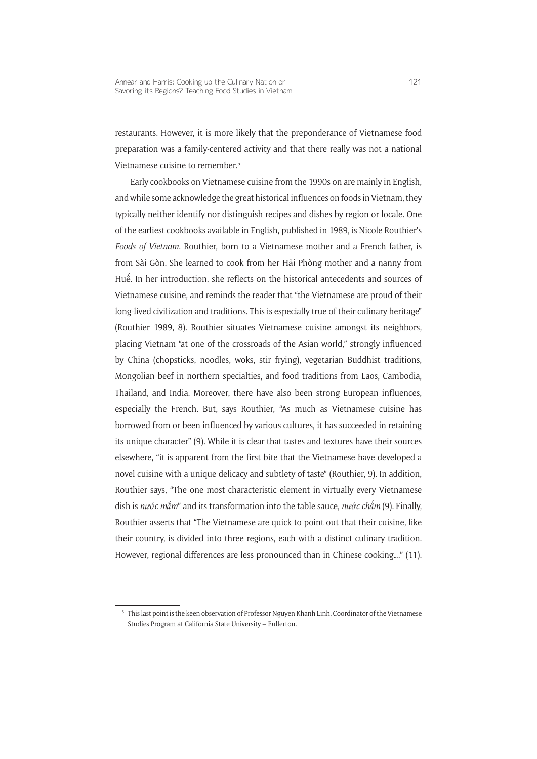restaurants. However, it is more likely that the preponderance of Vietnamese food preparation was a family-centered activity and that there really was not a national Vietnamese cuisine to remember<sup>5</sup>

Early cookbooks on Vietnamese cuisine from the 1990s on are mainly in English, and while some acknowledge the great historical influences on foods in Vietnam, they typically neither identify nor distinguish recipes and dishes by region or locale. One of the earliest cookbooks available in English, published in 1989, is Nicole Routhier's *Foods of Vietnam*. Routhier, born to a Vietnamese mother and a French father, is from Sài Gòn. She learned to cook from her Hải Phòng mother and a nanny from Huê ´. In her introduction, she reflects on the historical antecedents and sources of Vietnamese cuisine, and reminds the reader that "the Vietnamese are proud of their long-lived civilization and traditions. This is especially true of their culinary heritage" (Routhier 1989, 8). Routhier situates Vietnamese cuisine amongst its neighbors, placing Vietnam "at one of the crossroads of the Asian world," strongly influenced by China (chopsticks, noodles, woks, stir frying), vegetarian Buddhist traditions, Mongolian beef in northern specialties, and food traditions from Laos, Cambodia, Thailand, and India. Moreover, there have also been strong European influences, especially the French. But, says Routhier, "As much as Vietnamese cuisine has borrowed from or been influenced by various cultures, it has succeeded in retaining its unique character" (9). While it is clear that tastes and textures have their sources elsewhere, "it is apparent from the first bite that the Vietnamese have developed a novel cuisine with a unique delicacy and subtlety of taste" (Routhier, 9). In addition, Routhier says, "The one most characteristic element in virtually every Vietnamese dish is *nước mắm*" and its transformation into the table sauce, *nước châ ´m* (9). Finally, Routhier asserts that "The Vietnamese are quick to point out that their cuisine, like their country, is divided into three regions, each with a distinct culinary tradition. However, regional differences are less pronounced than in Chinese cooking…." (11).

<sup>&</sup>lt;sup>5</sup> This last point is the keen observation of Professor Nguyen Khanh Linh, Coordinator of the Vietnamese Studies Program at California State University – Fullerton.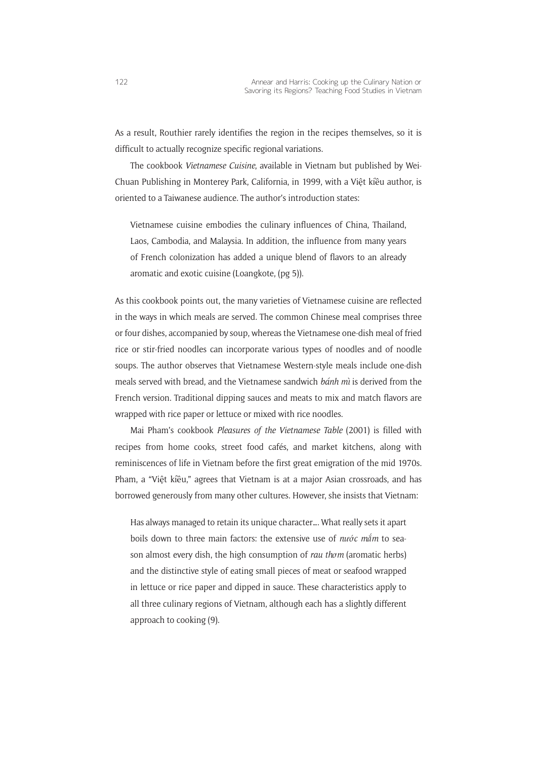As a result, Routhier rarely identifies the region in the recipes themselves, so it is difficult to actually recognize specific regional variations.

The cookbook *Vietnamese Cuisine*, available in Vietnam but published by Wei-Chuan Publishing in Monterey Park, California, in 1999, with a Việt kiều author, is oriented to a Taiwanese audience. The author's introduction states:

Vietnamese cuisine embodies the culinary influences of China, Thailand, Laos, Cambodia, and Malaysia. In addition, the influence from many years of French colonization has added a unique blend of flavors to an already aromatic and exotic cuisine (Loangkote, (pg 5)).

As this cookbook points out, the many varieties of Vietnamese cuisine are reflected in the ways in which meals are served. The common Chinese meal comprises three or four dishes, accompanied by soup, whereas the Vietnamese one-dish meal of fried rice or stir-fried noodles can incorporate various types of noodles and of noodle soups. The author observes that Vietnamese Western-style meals include one-dish meals served with bread, and the Vietnamese sandwich *bánh mì* is derived from the French version. Traditional dipping sauces and meats to mix and match flavors are wrapped with rice paper or lettuce or mixed with rice noodles.

Mai Pham's cookbook *Pleasures of the Vietnamese Table* (2001) is filled with recipes from home cooks, street food cafés, and market kitchens, along with reminiscences of life in Vietnam before the first great emigration of the mid 1970s. Pham, a "Việt kiều," agrees that Vietnam is at a major Asian crossroads, and has borrowed generously from many other cultures. However, she insists that Vietnam:

Has always managed to retain its unique character…. What really sets it apart boils down to three main factors: the extensive use of *nước mắm* to season almost every dish, the high consumption of *rau thơm* (aromatic herbs) and the distinctive style of eating small pieces of meat or seafood wrapped in lettuce or rice paper and dipped in sauce. These characteristics apply to all three culinary regions of Vietnam, although each has a slightly different approach to cooking (9).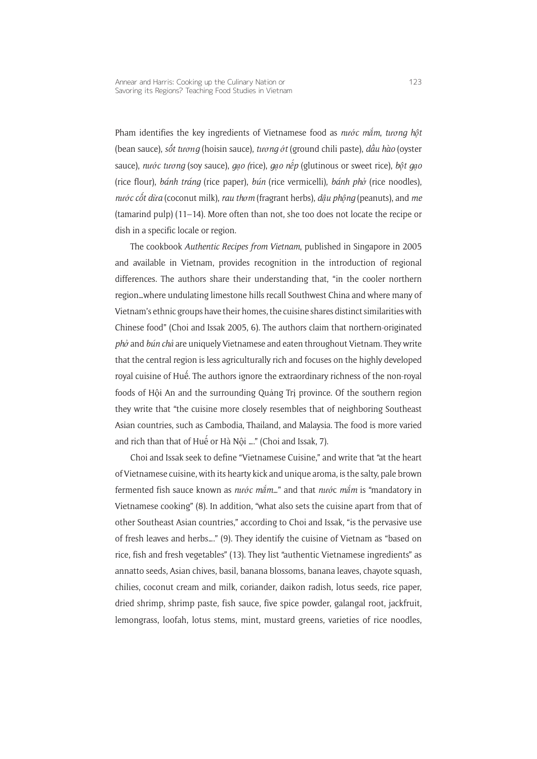Pham identifies the key ingredients of Vietnamese food as *nước mắm*, *tương hột* (bean sauce), *sô´t tương* (hoisin sauce), *tương ớt* (ground chili paste), *dâ�u hào* (oyster sauce), *nước tương* (soy sauce), *gạo (*rice), *gạo nê ´p* (glutinous or sweet rice), *bột gạo*  (rice flour), *bánh tráng* (rice paper), *bún* (rice vermicelli), *bánh phở* (rice noodles), *nước cô´t dừa* (coconut milk), *rau thơm* (fragrant herbs), *dậu phộng* (peanuts), and *me* (tamarind pulp) (11–14). More often than not, she too does not locate the recipe or dish in a specific locale or region.

The cookbook *Authentic Recipes from Vietnam*, published in Singapore in 2005 and available in Vietnam, provides recognition in the introduction of regional differences. The authors share their understanding that, "in the cooler northern region…where undulating limestone hills recall Southwest China and where many of Vietnam's ethnic groups have their homes, the cuisine shares distinct similarities with Chinese food" (Choi and Issak 2005, 6). The authors claim that northern-originated *phở* and *bún chả* are uniquely Vietnamese and eaten throughout Vietnam. They write that the central region is less agriculturally rich and focuses on the highly developed royal cuisine of Huê ´. The authors ignore the extraordinary richness of the non-royal foods of Hội An and the surrounding Quảng Trị province. Of the southern region they write that "the cuisine more closely resembles that of neighboring Southeast Asian countries, such as Cambodia, Thailand, and Malaysia. The food is more varied and rich than that of Huế or Hà Nội …." (Choi and Issak, 7).

Choi and Issak seek to define "Vietnamese Cuisine," and write that "at the heart of Vietnamese cuisine, with its hearty kick and unique aroma, is the salty, pale brown fermented fish sauce known as *nước mắm…*" and that *nướ*c *mắm* is "mandatory in Vietnamese cooking" (8). In addition, "what also sets the cuisine apart from that of other Southeast Asian countries," according to Choi and Issak, "is the pervasive use of fresh leaves and herbs…." (9). They identify the cuisine of Vietnam as "based on rice, fish and fresh vegetables" (13). They list "authentic Vietnamese ingredients" as annatto seeds, Asian chives, basil, banana blossoms, banana leaves, chayote squash, chilies, coconut cream and milk, coriander, daikon radish, lotus seeds, rice paper, dried shrimp, shrimp paste, fish sauce, five spice powder, galangal root, jackfruit, lemongrass, loofah, lotus stems, mint, mustard greens, varieties of rice noodles,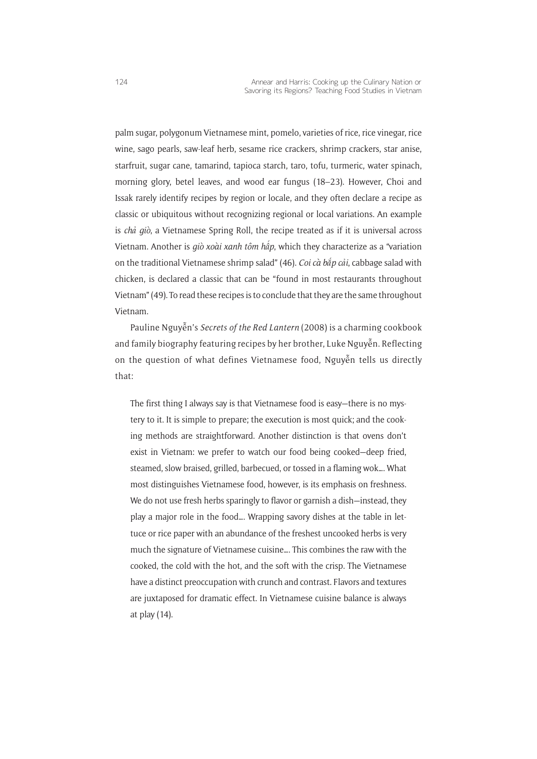palm sugar, polygonum Vietnamese mint, pomelo, varieties of rice, rice vinegar, rice wine, sago pearls, saw-leaf herb, sesame rice crackers, shrimp crackers, star anise, starfruit, sugar cane, tamarind, tapioca starch, taro, tofu, turmeric, water spinach, morning glory, betel leaves, and wood ear fungus (18–23). However, Choi and Issak rarely identify recipes by region or locale, and they often declare a recipe as classic or ubiquitous without recognizing regional or local variations. An example is *chả giò*, a Vietnamese Spring Roll, the recipe treated as if it is universal across Vietnam. Another is *giò xoài xanh tôm hâ ´p*, which they characterize as a "variation on the traditional Vietnamese shrimp salad" (46). *Coi cà bắp cải*, cabbage salad with chicken, is declared a classic that can be "found in most restaurants throughout Vietnam" (49). To read these recipes is to conclude that they are the same throughout Vietnam.

Pauline Nguyễn's *Secrets of the Red Lantern* (2008) is a charming cookbook and family biography featuring recipes by her brother, Luke Nguyễn. Reflecting on the question of what defines Vietnamese food, Nguyễn tells us directly that:

The first thing I always say is that Vietnamese food is easy—there is no mystery to it. It is simple to prepare; the execution is most quick; and the cooking methods are straightforward. Another distinction is that ovens don't exist in Vietnam: we prefer to watch our food being cooked—deep fried, steamed, slow braised, grilled, barbecued, or tossed in a flaming wok…. What most distinguishes Vietnamese food, however, is its emphasis on freshness. We do not use fresh herbs sparingly to flavor or garnish a dish—instead, they play a major role in the food…. Wrapping savory dishes at the table in lettuce or rice paper with an abundance of the freshest uncooked herbs is very much the signature of Vietnamese cuisine…. This combines the raw with the cooked, the cold with the hot, and the soft with the crisp. The Vietnamese have a distinct preoccupation with crunch and contrast. Flavors and textures are juxtaposed for dramatic effect. In Vietnamese cuisine balance is always at play (14).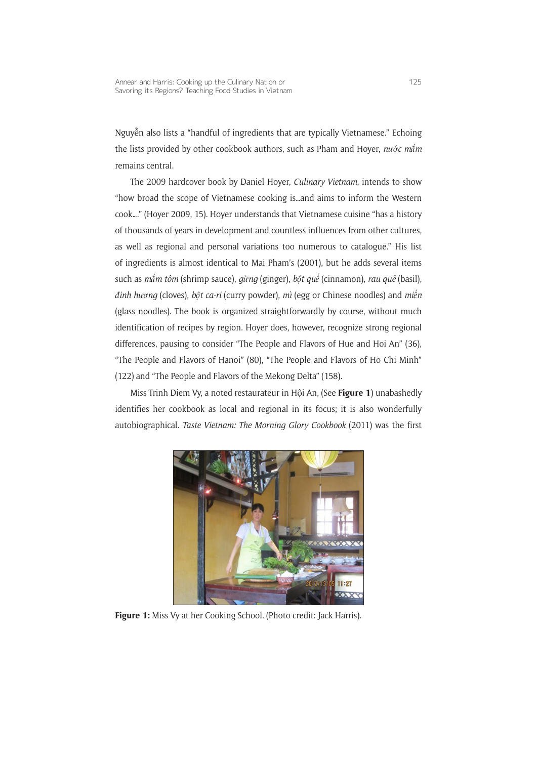Nguyễn also lists a "handful of ingredients that are typically Vietnamese." Echoing the lists provided by other cookbook authors, such as Pham and Hoyer, *nước mắm* remains central.

The 2009 hardcover book by Daniel Hoyer, *Culinary Vietnam*, intends to show "how broad the scope of Vietnamese cooking is…and aims to inform the Western cook…." (Hoyer 2009, 15). Hoyer understands that Vietnamese cuisine "has a history of thousands of years in development and countless influences from other cultures, as well as regional and personal variations too numerous to catalogue." His list of ingredients is almost identical to Mai Pham's (2001), but he adds several items such as *mắm tôm* (shrimp sauce), *gừng* (ginger), *bột quê ´* (cinnamon), *rau quê* (basil), *đinh hương* (cloves), *bột ca-ri* (curry powder), *mì* (egg or Chinese noodles) and *miê ´n* (glass noodles). The book is organized straightforwardly by course, without much identification of recipes by region. Hoyer does, however, recognize strong regional differences, pausing to consider "The People and Flavors of Hue and Hoi An" (36), "The People and Flavors of Hanoi" (80), "The People and Flavors of Ho Chi Minh" (122) and "The People and Flavors of the Mekong Delta" (158).

Miss Trinh Diem Vy, a noted restaurateur in Hội An, (See **Figure 1**) unabashedly identifies her cookbook as local and regional in its focus; it is also wonderfully autobiographical. *Taste Vietnam: The Morning Glory Cookbook* (2011) was the first



Figure 1: Miss Vy at her Cooking School. (Photo credit: Jack Harris).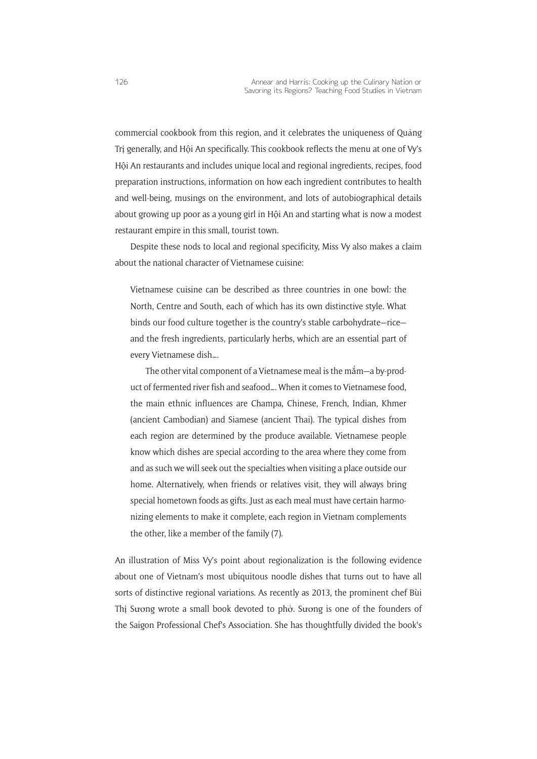commercial cookbook from this region, and it celebrates the uniqueness of Quảng Trị generally, and Hội An specifically. This cookbook reflects the menu at one of Vy's Hội An restaurants and includes unique local and regional ingredients, recipes, food preparation instructions, information on how each ingredient contributes to health and well-being, musings on the environment, and lots of autobiographical details about growing up poor as a young girl in Hội An and starting what is now a modest restaurant empire in this small, tourist town.

Despite these nods to local and regional specificity, Miss Vy also makes a claim about the national character of Vietnamese cuisine:

Vietnamese cuisine can be described as three countries in one bowl: the North, Centre and South, each of which has its own distinctive style. What binds our food culture together is the country's stable carbohydrate—rice and the fresh ingredients, particularly herbs, which are an essential part of every Vietnamese dish….

The other vital component of a Vietnamese meal is the mắm—a by-product of fermented river fish and seafood…. When it comes to Vietnamese food, the main ethnic influences are Champa, Chinese, French, Indian, Khmer (ancient Cambodian) and Siamese (ancient Thai). The typical dishes from each region are determined by the produce available. Vietnamese people know which dishes are special according to the area where they come from and as such we will seek out the specialties when visiting a place outside our home. Alternatively, when friends or relatives visit, they will always bring special hometown foods as gifts. Just as each meal must have certain harmonizing elements to make it complete, each region in Vietnam complements the other, like a member of the family (7).

An illustration of Miss Vy's point about regionalization is the following evidence about one of Vietnam's most ubiquitous noodle dishes that turns out to have all sorts of distinctive regional variations. As recently as 2013, the prominent chef Bùi Thị Sương wrote a small book devoted to phở. Sương is one of the founders of the Saigon Professional Chef's Association. She has thoughtfully divided the book's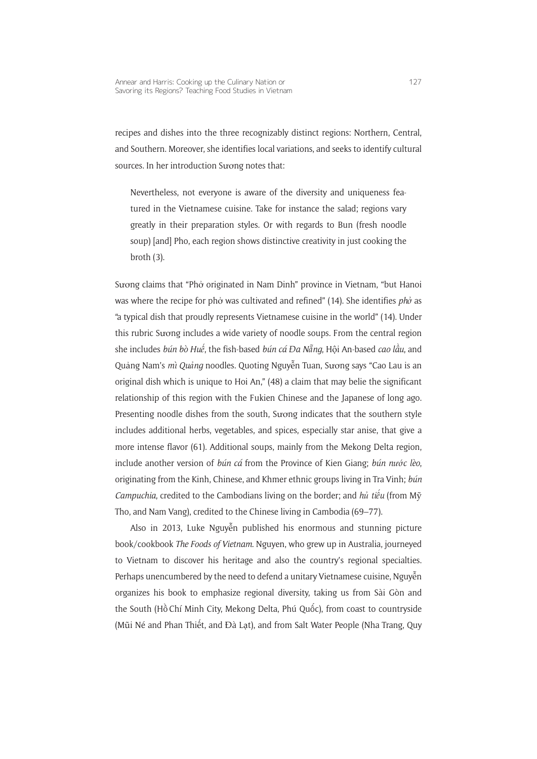recipes and dishes into the three recognizably distinct regions: Northern, Central, and Southern. Moreover, she identifies local variations, and seeks to identify cultural sources. In her introduction Sương notes that:

Nevertheless, not everyone is aware of the diversity and uniqueness featured in the Vietnamese cuisine. Take for instance the salad; regions vary greatly in their preparation styles. Or with regards to Bun (fresh noodle soup) [and] Pho, each region shows distinctive creativity in just cooking the broth (3).

Sương claims that "Phở originated in Nam Dinh" province in Vietnam, "but Hanoi was where the recipe for phở was cultivated and refined" (14). She identifies *phở* as "a typical dish that proudly represents Vietnamese cuisine in the world" (14). Under this rubric Sương includes a wide variety of noodle soups. From the central region she includes *bún bò Huê ´*, the fish-based *bún cá Đa Nẵng*, Hội An-based *cao lâ�u*, and Quảng Nam's *mì Quảng* noodles. Quoting Nguyễn Tuan, Sương says "Cao Lau is an original dish which is unique to Hoi An," (48) a claim that may belie the significant relationship of this region with the Fukien Chinese and the Japanese of long ago. Presenting noodle dishes from the south, Sương indicates that the southern style includes additional herbs, vegetables, and spices, especially star anise, that give a more intense flavor (61). Additional soups, mainly from the Mekong Delta region, include another version of *bún cá* from the Province of Kien Giang; *bún nước lèo*, originating from the Kinh, Chinese, and Khmer ethnic groups living in Tra Vinh; *bún Campuchia*, credited to the Cambodians living on the border; and *hủ tiê ´u* (from Mỹ Tho, and Nam Vang), credited to the Chinese living in Cambodia (69–77).

Also in 2013, Luke Nguyễn published his enormous and stunning picture book/cookbook *The Foods of Vietnam*. Nguyen, who grew up in Australia, journeyed to Vietnam to discover his heritage and also the country's regional specialties. Perhaps unencumbered by the need to defend a unitary Vietnamese cuisine, Nguyễn organizes his book to emphasize regional diversity, taking us from Sài Gòn and the South (Hồ Chí Minh City, Mekong Delta, Phú Quốc), from coast to countryside (Mũi Né and Phan Thiết, and Đà Lạt), and from Salt Water People (Nha Trang, Quy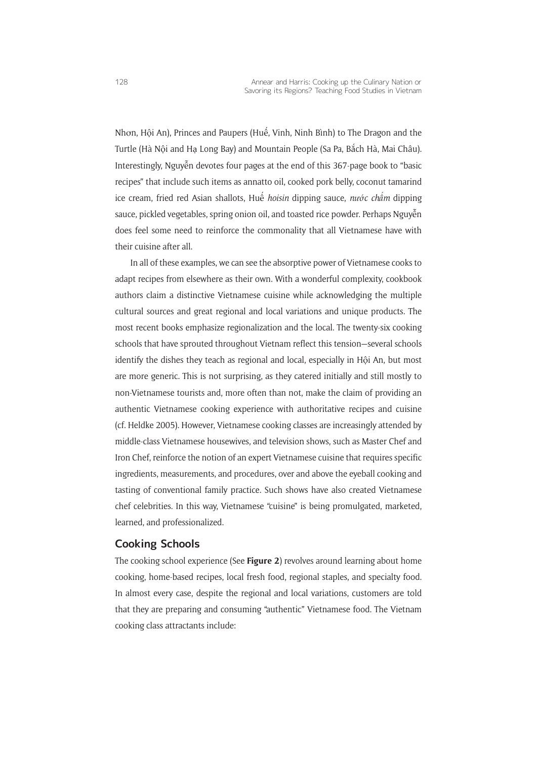Nhơn, Hội An), Princes and Paupers (Huế, Vinh, Ninh Bình) to The Dragon and the Turtle (Hà Nội and Hạ Long Bay) and Mountain People (Sa Pa, Bắch Hà, Mai Châu). Interestingly, Nguyễn devotes four pages at the end of this 367-page book to "basic recipes" that include such items as annatto oil, cooked pork belly, coconut tamarind ice cream, fried red Asian shallots, Huế hoisin dipping sauce, nước chấm dipping sauce, pickled vegetables, spring onion oil, and toasted rice powder. Perhaps Nguyễn does feel some need to reinforce the commonality that all Vietnamese have with their cuisine after all.

In all of these examples, we can see the absorptive power of Vietnamese cooks to adapt recipes from elsewhere as their own. With a wonderful complexity, cookbook authors claim a distinctive Vietnamese cuisine while acknowledging the multiple cultural sources and great regional and local variations and unique products. The most recent books emphasize regionalization and the local. The twenty-six cooking schools that have sprouted throughout Vietnam reflect this tension—several schools identify the dishes they teach as regional and local, especially in Hội An, but most are more generic. This is not surprising, as they catered initially and still mostly to non-Vietnamese tourists and, more often than not, make the claim of providing an authentic Vietnamese cooking experience with authoritative recipes and cuisine (cf. Heldke 2005). However, Vietnamese cooking classes are increasingly attended by middle-class Vietnamese housewives, and television shows, such as Master Chef and Iron Chef, reinforce the notion of an expert Vietnamese cuisine that requires specific ingredients, measurements, and procedures, over and above the eyeball cooking and tasting of conventional family practice. Such shows have also created Vietnamese chef celebrities. In this way, Vietnamese "cuisine" is being promulgated, marketed, learned, and professionalized.

#### **Cooking Schools**

The cooking school experience (See **Figure 2**) revolves around learning about home cooking, home-based recipes, local fresh food, regional staples, and specialty food. In almost every case, despite the regional and local variations, customers are told that they are preparing and consuming "authentic" Vietnamese food. The Vietnam cooking class attractants include: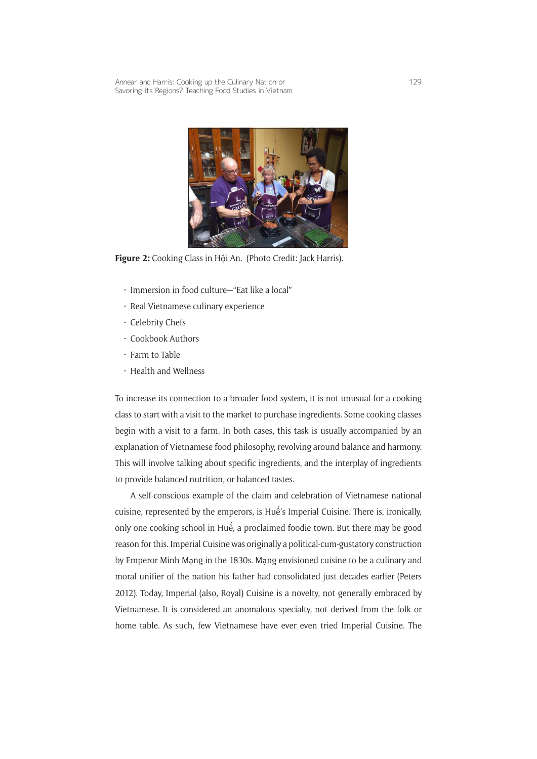

**Figure 2:** Cooking Class in Hội An. (Photo Credit: Jack Harris).

- • Immersion in food culture—"Eat like a local"
- • Real Vietnamese culinary experience
- • Celebrity Chefs
- Cookbook Authors
- $\cdot$  Farm to Table
- • Health and Wellness

To increase its connection to a broader food system, it is not unusual for a cooking class to start with a visit to the market to purchase ingredients. Some cooking classes begin with a visit to a farm. In both cases, this task is usually accompanied by an explanation of Vietnamese food philosophy, revolving around balance and harmony. This will involve talking about specific ingredients, and the interplay of ingredients to provide balanced nutrition, or balanced tastes.

A self-conscious example of the claim and celebration of Vietnamese national cuisine, represented by the emperors, is Huế's Imperial Cuisine. There is, ironically, only one cooking school in Huế, a proclaimed foodie town. But there may be good reason for this. Imperial Cuisine was originally a political-cum-gustatory construction by Emperor Minh Mạng in the 1830s. Mạng envisioned cuisine to be a culinary and moral unifier of the nation his father had consolidated just decades earlier (Peters 2012). Today, Imperial (also, Royal) Cuisine is a novelty, not generally embraced by Vietnamese. It is considered an anomalous specialty, not derived from the folk or home table. As such, few Vietnamese have ever even tried Imperial Cuisine. The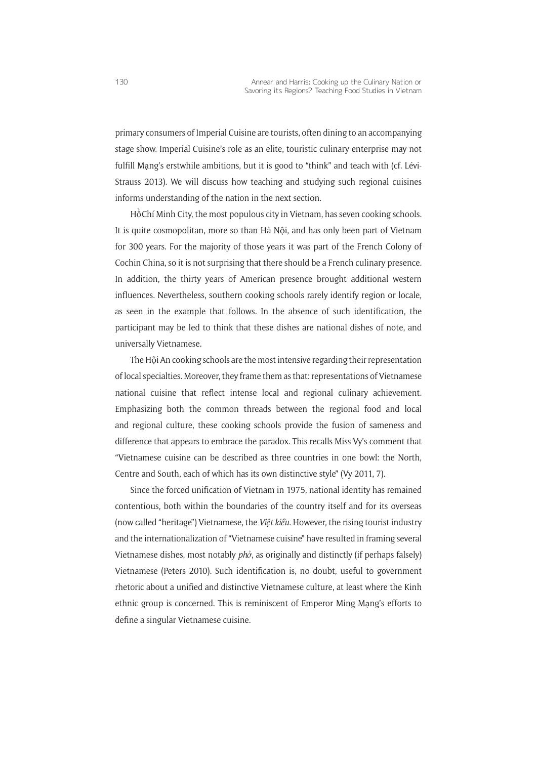primary consumers of Imperial Cuisine are tourists, often dining to an accompanying stage show. Imperial Cuisine's role as an elite, touristic culinary enterprise may not fulfill Mạng's erstwhile ambitions, but it is good to "think" and teach with (cf. Lévi-Strauss 2013). We will discuss how teaching and studying such regional cuisines informs understanding of the nation in the next section.

Hồ Chí Minh City, the most populous city in Vietnam, has seven cooking schools. It is quite cosmopolitan, more so than Hà Nội, and has only been part of Vietnam for 300 years. For the majority of those years it was part of the French Colony of Cochin China, so it is not surprising that there should be a French culinary presence. In addition, the thirty years of American presence brought additional western influences. Nevertheless, southern cooking schools rarely identify region or locale, as seen in the example that follows. In the absence of such identification, the participant may be led to think that these dishes are national dishes of note, and universally Vietnamese.

The Hội An cooking schools are the most intensive regarding their representation of local specialties. Moreover, they frame them as that: representations of Vietnamese national cuisine that reflect intense local and regional culinary achievement. Emphasizing both the common threads between the regional food and local and regional culture, these cooking schools provide the fusion of sameness and difference that appears to embrace the paradox. This recalls Miss Vy's comment that "Vietnamese cuisine can be described as three countries in one bowl: the North, Centre and South, each of which has its own distinctive style" (Vy 2011, 7).

Since the forced unification of Vietnam in 1975, national identity has remained contentious, both within the boundaries of the country itself and for its overseas (now called "heritage") Vietnamese, the *Việt kiều*. However, the rising tourist industry and the internationalization of "Vietnamese cuisine" have resulted in framing several Vietnamese dishes, most notably *phở*, as originally and distinctly (if perhaps falsely) Vietnamese (Peters 2010). Such identification is, no doubt, useful to government rhetoric about a unified and distinctive Vietnamese culture, at least where the Kinh ethnic group is concerned. This is reminiscent of Emperor Ming Mạng's efforts to define a singular Vietnamese cuisine.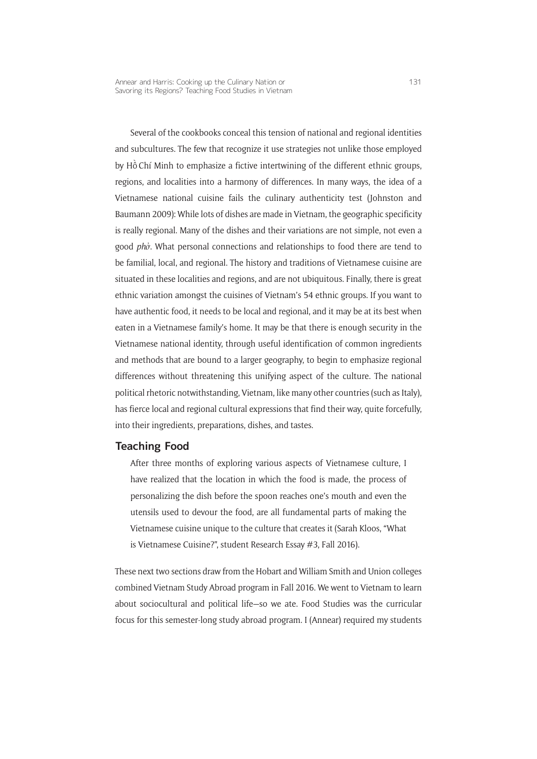Several of the cookbooks conceal this tension of national and regional identities and subcultures. The few that recognize it use strategies not unlike those employed by Hồ Chí Minh to emphasize a fictive intertwining of the different ethnic groups, regions, and localities into a harmony of differences. In many ways, the idea of a Vietnamese national cuisine fails the culinary authenticity test (Johnston and Baumann 2009): While lots of dishes are made in Vietnam, the geographic specificity is really regional. Many of the dishes and their variations are not simple, not even a good *phở*. What personal connections and relationships to food there are tend to be familial, local, and regional. The history and traditions of Vietnamese cuisine are situated in these localities and regions, and are not ubiquitous. Finally, there is great ethnic variation amongst the cuisines of Vietnam's 54 ethnic groups. If you want to have authentic food, it needs to be local and regional, and it may be at its best when eaten in a Vietnamese family's home. It may be that there is enough security in the Vietnamese national identity, through useful identification of common ingredients and methods that are bound to a larger geography, to begin to emphasize regional differences without threatening this unifying aspect of the culture. The national political rhetoric notwithstanding, Vietnam, like many other countries (such as Italy), has fierce local and regional cultural expressions that find their way, quite forcefully, into their ingredients, preparations, dishes, and tastes.

#### **Teaching Food**

After three months of exploring various aspects of Vietnamese culture, I have realized that the location in which the food is made, the process of personalizing the dish before the spoon reaches one's mouth and even the utensils used to devour the food, are all fundamental parts of making the Vietnamese cuisine unique to the culture that creates it (Sarah Kloos, "What is Vietnamese Cuisine?", student Research Essay #3, Fall 2016).

These next two sections draw from the Hobart and William Smith and Union colleges combined Vietnam Study Abroad program in Fall 2016. We went to Vietnam to learn about sociocultural and political life—so we ate. Food Studies was the curricular focus for this semester-long study abroad program. I (Annear) required my students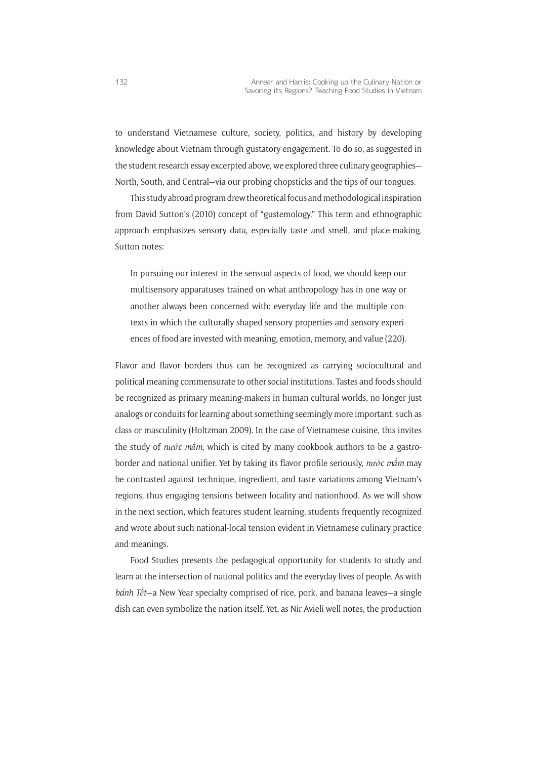to understand Vietnamese culture, society, politics, and history by developing knowledge about Vietnam through gustatory engagement. To do so, as suggested in the student research essay excerpted above, we explored three culinary geographies— North, South, and Central—via our probing chopsticks and the tips of our tongues.

This study abroad program drew theoretical focus and methodological inspiration from David Sutton's (2010) concept of "gustemology." This term and ethnographic approach emphasizes sensory data, especially taste and smell, and place-making. Sutton notes:

In pursuing our interest in the sensual aspects of food, we should keep our multisensory apparatuses trained on what anthropology has in one way or another always been concerned with: everyday life and the multiple contexts in which the culturally shaped sensory properties and sensory experiences of food are invested with meaning, emotion, memory, and value (220).

Flavor and flavor borders thus can be recognized as carrying sociocultural and political meaning commensurate to other social institutions. Tastes and foods should be recognized as primary meaning-makers in human cultural worlds, no longer just analogs or conduits for learning about something seemingly more important, such as class or masculinity (Holtzman 2009). In the case of Vietnamese cuisine, this invites the study of *nước mắm*, which is cited by many cookbook authors to be a gastroborder and national unifier. Yet by taking its flavor profile seriously, *nước mắm* may be contrasted against technique, ingredient, and taste variations among Vietnam's regions, thus engaging tensions between locality and nationhood. As we will show in the next section, which features student learning, students frequently recognized and wrote about such national-local tension evident in Vietnamese culinary practice and meanings.

Food Studies presents the pedagogical opportunity for students to study and learn at the intersection of national politics and the everyday lives of people. As with bánh Tết-a New Year specialty comprised of rice, pork, and banana leaves-a single dish can even symbolize the nation itself. Yet, as Nir Avieli well notes, the production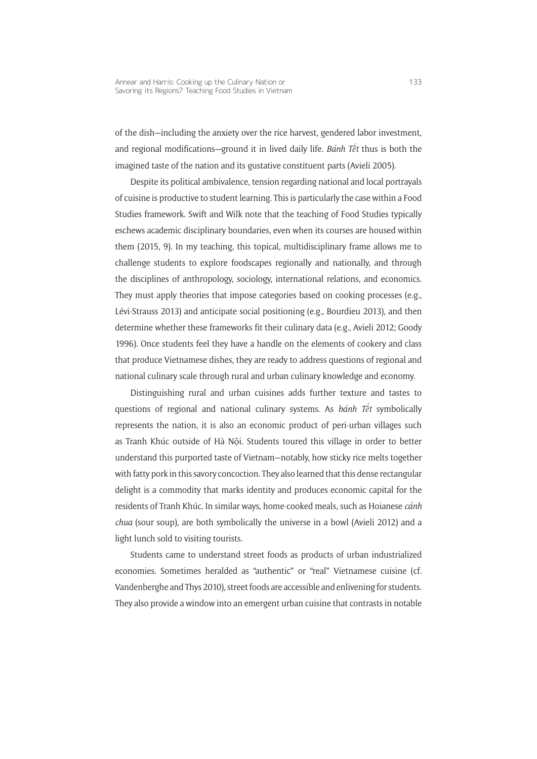of the dish—including the anxiety over the rice harvest, gendered labor investment, and regional modifications—ground it in lived daily life. *Bánh Tê ´t* thus is both the imagined taste of the nation and its gustative constituent parts (Avieli 2005).

Despite its political ambivalence, tension regarding national and local portrayals of cuisine is productive to student learning. This is particularly the case within a Food Studies framework. Swift and Wilk note that the teaching of Food Studies typically eschews academic disciplinary boundaries, even when its courses are housed within them (2015, 9). In my teaching, this topical, multidisciplinary frame allows me to challenge students to explore foodscapes regionally and nationally, and through the disciplines of anthropology, sociology, international relations, and economics. They must apply theories that impose categories based on cooking processes (e.g., Lévi-Strauss 2013) and anticipate social positioning (e.g., Bourdieu 2013), and then determine whether these frameworks fit their culinary data (e.g., Avieli 2012; Goody 1996). Once students feel they have a handle on the elements of cookery and class that produce Vietnamese dishes, they are ready to address questions of regional and national culinary scale through rural and urban culinary knowledge and economy.

Distinguishing rural and urban cuisines adds further texture and tastes to questions of regional and national culinary systems. As *bánh Tê ´t* symbolically represents the nation, it is also an economic product of peri-urban villages such as Tranh Khúc outside of Hà Nội. Students toured this village in order to better understand this purported taste of Vietnam—notably, how sticky rice melts together with fatty pork in this savory concoction. They also learned that this dense rectangular delight is a commodity that marks identity and produces economic capital for the residents of Tranh Khúc. In similar ways, home-cooked meals, such as Hoianese *cánh chua* (sour soup), are both symbolically the universe in a bowl (Avieli 2012) and a light lunch sold to visiting tourists.

Students came to understand street foods as products of urban industrialized economies. Sometimes heralded as "authentic" or "real" Vietnamese cuisine (cf*.* Vandenberghe and Thys 2010), street foods are accessible and enlivening for students. They also provide a window into an emergent urban cuisine that contrasts in notable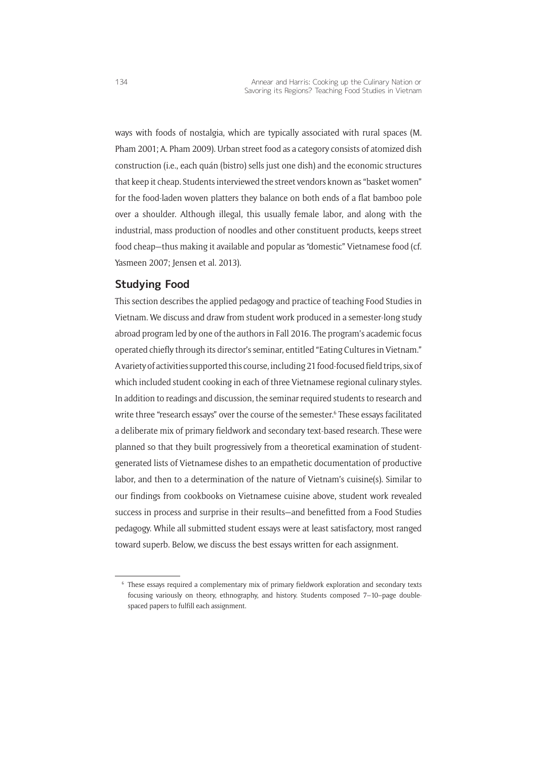ways with foods of nostalgia, which are typically associated with rural spaces (M. Pham 2001; A. Pham 2009). Urban street food as a category consists of atomized dish construction (i.e., each quán (bistro) sells just one dish) and the economic structures that keep it cheap. Students interviewed the street vendors known as "basket women" for the food-laden woven platters they balance on both ends of a flat bamboo pole over a shoulder. Although illegal, this usually female labor, and along with the industrial, mass production of noodles and other constituent products, keeps street food cheap—thus making it available and popular as "domestic" Vietnamese food (cf. Yasmeen 2007; Jensen et al. 2013).

### **Studying Food**

This section describes the applied pedagogy and practice of teaching Food Studies in Vietnam. We discuss and draw from student work produced in a semester-long study abroad program led by one of the authors in Fall 2016. The program's academic focus operated chiefly through its director's seminar, entitled "Eating Cultures in Vietnam." A variety of activities supported this course, including 21 food-focused field trips, six of which included student cooking in each of three Vietnamese regional culinary styles. In addition to readings and discussion, the seminar required students to research and write three "research essays" over the course of the semester.6 These essays facilitated a deliberate mix of primary fieldwork and secondary text-based research. These were planned so that they built progressively from a theoretical examination of studentgenerated lists of Vietnamese dishes to an empathetic documentation of productive labor, and then to a determination of the nature of Vietnam's cuisine(s). Similar to our findings from cookbooks on Vietnamese cuisine above, student work revealed success in process and surprise in their results—and benefitted from a Food Studies pedagogy. While all submitted student essays were at least satisfactory, most ranged toward superb. Below, we discuss the best essays written for each assignment.

<sup>6</sup> These essays required a complementary mix of primary fieldwork exploration and secondary texts focusing variously on theory, ethnography, and history. Students composed 7–10–page doublespaced papers to fulfill each assignment.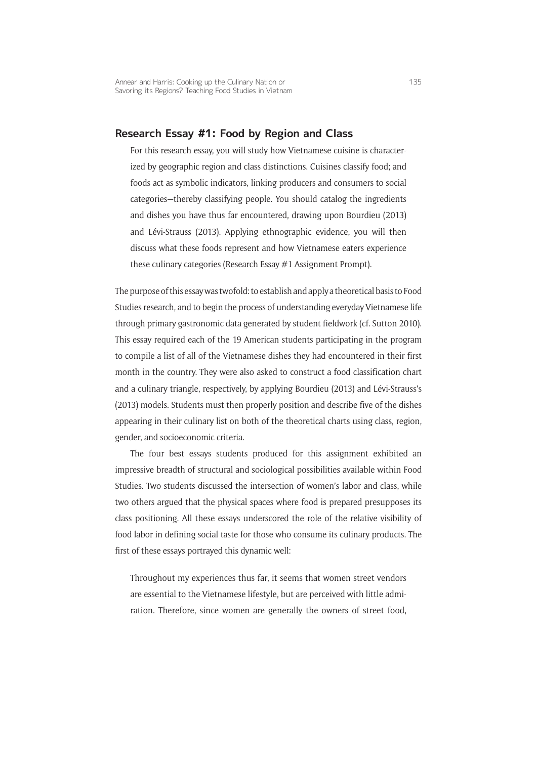#### **Research Essay #1: Food by Region and Class**

For this research essay, you will study how Vietnamese cuisine is characterized by geographic region and class distinctions. Cuisines classify food; and foods act as symbolic indicators, linking producers and consumers to social categories—thereby classifying people. You should catalog the ingredients and dishes you have thus far encountered, drawing upon Bourdieu (2013) and Lévi-Strauss (2013). Applying ethnographic evidence, you will then discuss what these foods represent and how Vietnamese eaters experience these culinary categories (Research Essay #1 Assignment Prompt).

The purpose of this essay was twofold: to establish and apply a theoretical basis to Food Studies research, and to begin the process of understanding everyday Vietnamese life through primary gastronomic data generated by student fieldwork (cf. Sutton 2010). This essay required each of the 19 American students participating in the program to compile a list of all of the Vietnamese dishes they had encountered in their first month in the country. They were also asked to construct a food classification chart and a culinary triangle, respectively, by applying Bourdieu (2013) and Lévi-Strauss's (2013) models. Students must then properly position and describe five of the dishes appearing in their culinary list on both of the theoretical charts using class, region, gender, and socioeconomic criteria.

The four best essays students produced for this assignment exhibited an impressive breadth of structural and sociological possibilities available within Food Studies. Two students discussed the intersection of women's labor and class, while two others argued that the physical spaces where food is prepared presupposes its class positioning. All these essays underscored the role of the relative visibility of food labor in defining social taste for those who consume its culinary products. The first of these essays portrayed this dynamic well:

Throughout my experiences thus far, it seems that women street vendors are essential to the Vietnamese lifestyle, but are perceived with little admiration. Therefore, since women are generally the owners of street food,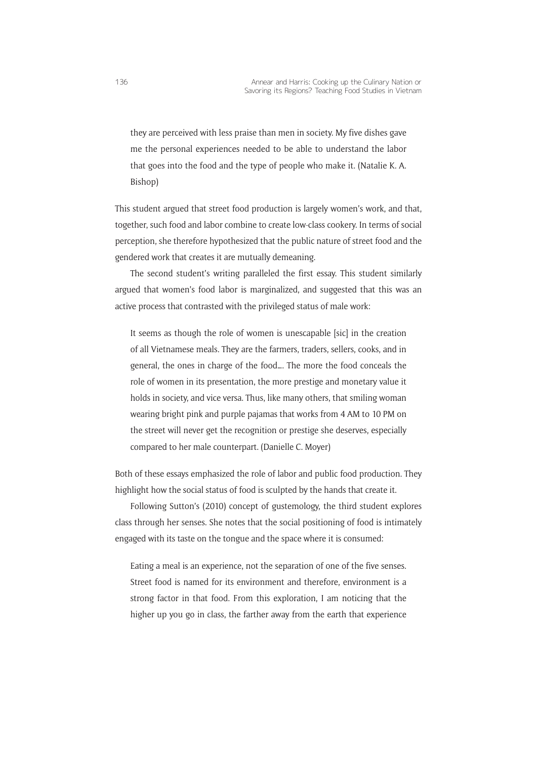they are perceived with less praise than men in society. My five dishes gave me the personal experiences needed to be able to understand the labor that goes into the food and the type of people who make it. (Natalie K. A. Bishop)

This student argued that street food production is largely women's work, and that, together, such food and labor combine to create low-class cookery. In terms of social perception, she therefore hypothesized that the public nature of street food and the gendered work that creates it are mutually demeaning.

The second student's writing paralleled the first essay. This student similarly argued that women's food labor is marginalized, and suggested that this was an active process that contrasted with the privileged status of male work:

It seems as though the role of women is unescapable [sic] in the creation of all Vietnamese meals. They are the farmers, traders, sellers, cooks, and in general, the ones in charge of the food…. The more the food conceals the role of women in its presentation, the more prestige and monetary value it holds in society, and vice versa. Thus, like many others, that smiling woman wearing bright pink and purple pajamas that works from 4 AM to 10 PM on the street will never get the recognition or prestige she deserves, especially compared to her male counterpart. (Danielle C. Moyer)

Both of these essays emphasized the role of labor and public food production. They highlight how the social status of food is sculpted by the hands that create it.

Following Sutton's (2010) concept of gustemology, the third student explores class through her senses. She notes that the social positioning of food is intimately engaged with its taste on the tongue and the space where it is consumed:

Eating a meal is an experience, not the separation of one of the five senses. Street food is named for its environment and therefore, environment is a strong factor in that food. From this exploration, I am noticing that the higher up you go in class, the farther away from the earth that experience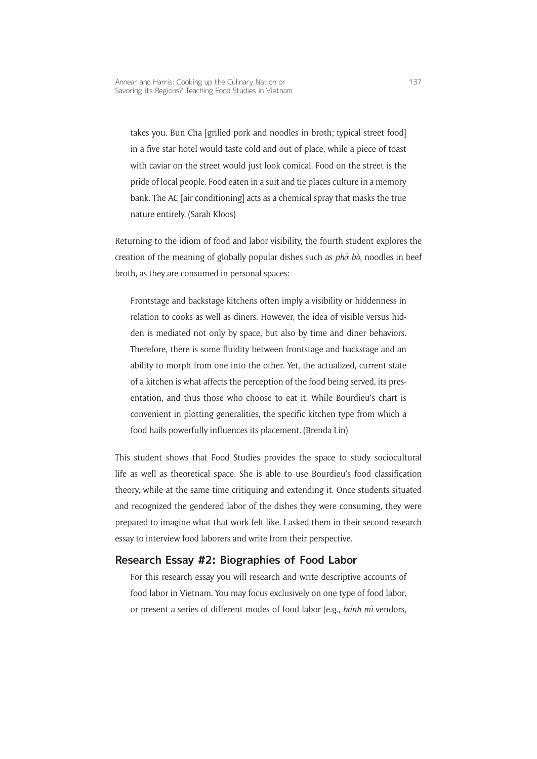takes you. Bun Cha [grilled pork and noodles in broth; typical street food] in a five star hotel would taste cold and out of place, while a piece of toast with caviar on the street would just look comical. Food on the street is the pride of local people. Food eaten in a suit and tie places culture in a memory bank. The AC [air conditioning] acts as a chemical spray that masks the true nature entirely. (Sarah Kloos)

Returning to the idiom of food and labor visibility, the fourth student explores the creation of the meaning of globally popular dishes such as *phở bò*, noodles in beef broth, as they are consumed in personal spaces:

Frontstage and backstage kitchens often imply a visibility or hiddenness in relation to cooks as well as diners. However, the idea of visible versus hidden is mediated not only by space, but also by time and diner behaviors. Therefore, there is some fluidity between frontstage and backstage and an ability to morph from one into the other. Yet, the actualized, current state of a kitchen is what affects the perception of the food being served, its presentation, and thus those who choose to eat it. While Bourdieu's chart is convenient in plotting generalities, the specific kitchen type from which a food hails powerfully influences its placement. (Brenda Lin)

This student shows that Food Studies provides the space to study sociocultural life as well as theoretical space. She is able to use Bourdieu's food classification theory, while at the same time critiquing and extending it. Once students situated and recognized the gendered labor of the dishes they were consuming, they were prepared to imagine what that work felt like. I asked them in their second research essay to interview food laborers and write from their perspective.

#### **Research Essay #2: Biographies of Food Labor**

For this research essay you will research and write descriptive accounts of food labor in Vietnam. You may focus exclusively on one type of food labor, or present a series of different modes of food labor (e.g., *bánh mì* vendors,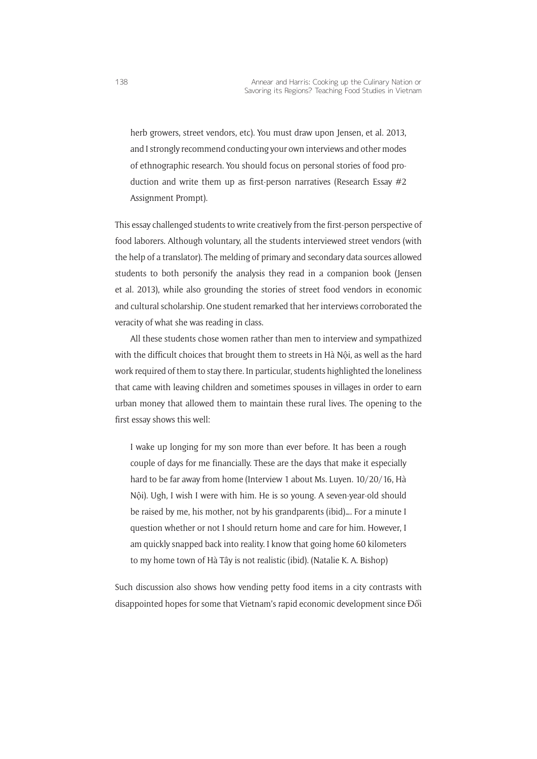herb growers, street vendors, etc). You must draw upon Jensen, et al. 2013, and I strongly recommend conducting your own interviews and other modes of ethnographic research. You should focus on personal stories of food production and write them up as first-person narratives (Research Essay #2 Assignment Prompt).

This essay challenged students to write creatively from the first-person perspective of food laborers. Although voluntary, all the students interviewed street vendors (with the help of a translator). The melding of primary and secondary data sources allowed students to both personify the analysis they read in a companion book (Jensen et al. 2013), while also grounding the stories of street food vendors in economic and cultural scholarship. One student remarked that her interviews corroborated the veracity of what she was reading in class.

All these students chose women rather than men to interview and sympathized with the difficult choices that brought them to streets in Hà Nội, as well as the hard work required of them to stay there. In particular, students highlighted the loneliness that came with leaving children and sometimes spouses in villages in order to earn urban money that allowed them to maintain these rural lives. The opening to the first essay shows this well:

I wake up longing for my son more than ever before. It has been a rough couple of days for me financially. These are the days that make it especially hard to be far away from home (Interview 1 about Ms. Luyen. 10/20/16, Hà Nội). Ugh, I wish I were with him. He is so young. A seven-year-old should be raised by me, his mother, not by his grandparents (ibid)…. For a minute I question whether or not I should return home and care for him. However, I am quickly snapped back into reality. I know that going home 60 kilometers to my home town of Hà Tây is not realistic (ibid). (Natalie K. A. Bishop)

Such discussion also shows how vending petty food items in a city contrasts with disappointed hopes for some that Vietnam's rapid economic development since Đổi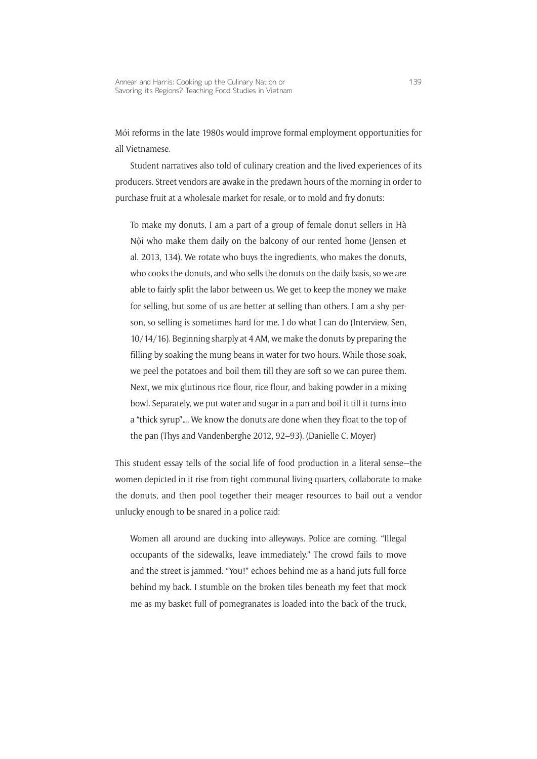Mới reforms in the late 1980s would improve formal employment opportunities for all Vietnamese.

Student narratives also told of culinary creation and the lived experiences of its producers. Street vendors are awake in the predawn hours of the morning in order to purchase fruit at a wholesale market for resale, or to mold and fry donuts:

To make my donuts, I am a part of a group of female donut sellers in Hà Nội who make them daily on the balcony of our rented home (Jensen et al. 2013, 134). We rotate who buys the ingredients, who makes the donuts, who cooks the donuts, and who sells the donuts on the daily basis, so we are able to fairly split the labor between us. We get to keep the money we make for selling, but some of us are better at selling than others. I am a shy person, so selling is sometimes hard for me. I do what I can do (Interview, Sen, 10/14/16). Beginning sharply at 4 AM, we make the donuts by preparing the filling by soaking the mung beans in water for two hours. While those soak, we peel the potatoes and boil them till they are soft so we can puree them. Next, we mix glutinous rice flour, rice flour, and baking powder in a mixing bowl. Separately, we put water and sugar in a pan and boil it till it turns into a "thick syrup"…. We know the donuts are done when they float to the top of the pan (Thys and Vandenberghe 2012, 92–93). (Danielle C. Moyer)

This student essay tells of the social life of food production in a literal sense—the women depicted in it rise from tight communal living quarters, collaborate to make the donuts, and then pool together their meager resources to bail out a vendor unlucky enough to be snared in a police raid:

Women all around are ducking into alleyways. Police are coming. "Illegal occupants of the sidewalks, leave immediately." The crowd fails to move and the street is jammed. "You!" echoes behind me as a hand juts full force behind my back. I stumble on the broken tiles beneath my feet that mock me as my basket full of pomegranates is loaded into the back of the truck,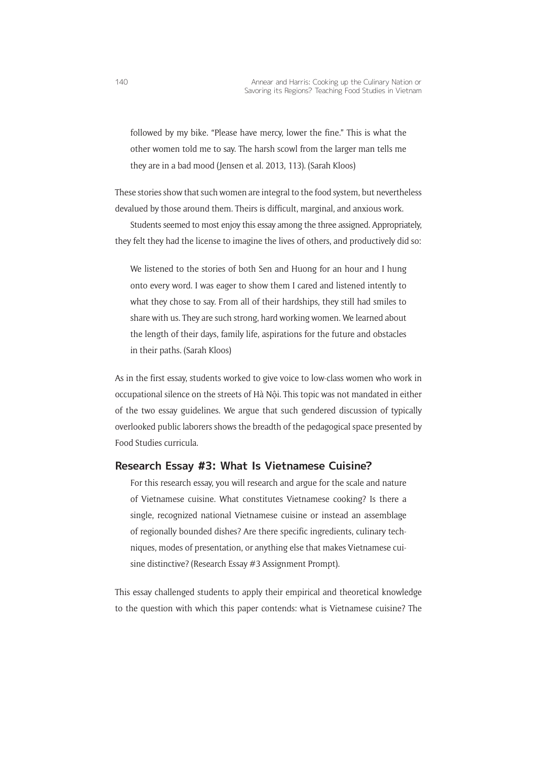followed by my bike. "Please have mercy, lower the fine." This is what the other women told me to say. The harsh scowl from the larger man tells me they are in a bad mood (Jensen et al. 2013, 113). (Sarah Kloos)

These stories show that such women are integral to the food system, but nevertheless devalued by those around them. Theirs is difficult, marginal, and anxious work.

Students seemed to most enjoy this essay among the three assigned. Appropriately, they felt they had the license to imagine the lives of others, and productively did so:

We listened to the stories of both Sen and Huong for an hour and I hung onto every word. I was eager to show them I cared and listened intently to what they chose to say. From all of their hardships, they still had smiles to share with us. They are such strong, hard working women. We learned about the length of their days, family life, aspirations for the future and obstacles in their paths. (Sarah Kloos)

As in the first essay, students worked to give voice to low-class women who work in occupational silence on the streets of Hà Nội. This topic was not mandated in either of the two essay guidelines. We argue that such gendered discussion of typically overlooked public laborers shows the breadth of the pedagogical space presented by Food Studies curricula.

#### **Research Essay #3: What Is Vietnamese Cuisine?**

For this research essay, you will research and argue for the scale and nature of Vietnamese cuisine. What constitutes Vietnamese cooking? Is there a single, recognized national Vietnamese cuisine or instead an assemblage of regionally bounded dishes? Are there specific ingredients, culinary techniques, modes of presentation, or anything else that makes Vietnamese cuisine distinctive? (Research Essay #3 Assignment Prompt).

This essay challenged students to apply their empirical and theoretical knowledge to the question with which this paper contends: what is Vietnamese cuisine? The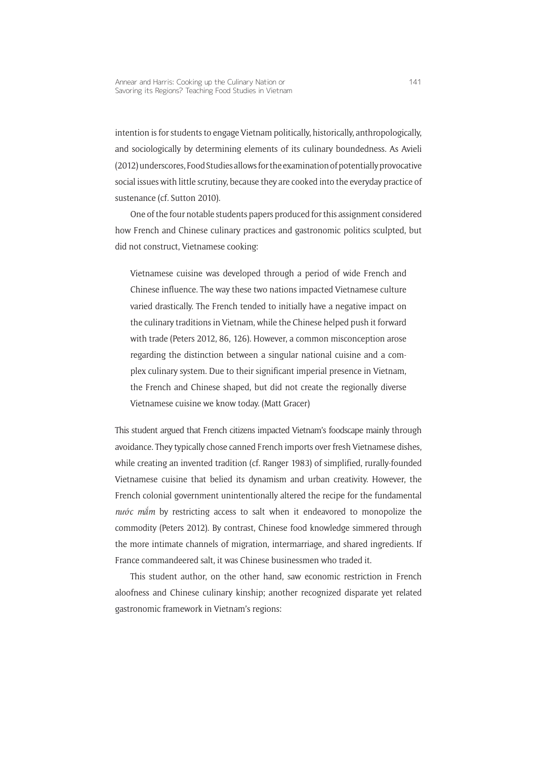intention is for students to engage Vietnam politically, historically, anthropologically, and sociologically by determining elements of its culinary boundedness. As Avieli (2012) underscores, Food Studies allows for the examination of potentially provocative social issues with little scrutiny, because they are cooked into the everyday practice of sustenance (cf*.* Sutton 2010).

One of the four notable students papers produced for this assignment considered how French and Chinese culinary practices and gastronomic politics sculpted, but did not construct, Vietnamese cooking:

Vietnamese cuisine was developed through a period of wide French and Chinese influence. The way these two nations impacted Vietnamese culture varied drastically. The French tended to initially have a negative impact on the culinary traditions in Vietnam, while the Chinese helped push it forward with trade (Peters 2012, 86, 126). However, a common misconception arose regarding the distinction between a singular national cuisine and a complex culinary system. Due to their significant imperial presence in Vietnam, the French and Chinese shaped, but did not create the regionally diverse Vietnamese cuisine we know today. (Matt Gracer)

This student argued that French citizens impacted Vietnam's foodscape mainly through avoidance. They typically chose canned French imports over fresh Vietnamese dishes, while creating an invented tradition (cf. Ranger 1983) of simplified, rurally-founded Vietnamese cuisine that belied its dynamism and urban creativity. However, the French colonial government unintentionally altered the recipe for the fundamental *nước mắm* by restricting access to salt when it endeavored to monopolize the commodity (Peters 2012). By contrast, Chinese food knowledge simmered through the more intimate channels of migration, intermarriage, and shared ingredients. If France commandeered salt, it was Chinese businessmen who traded it.

This student author, on the other hand, saw economic restriction in French aloofness and Chinese culinary kinship; another recognized disparate yet related gastronomic framework in Vietnam's regions: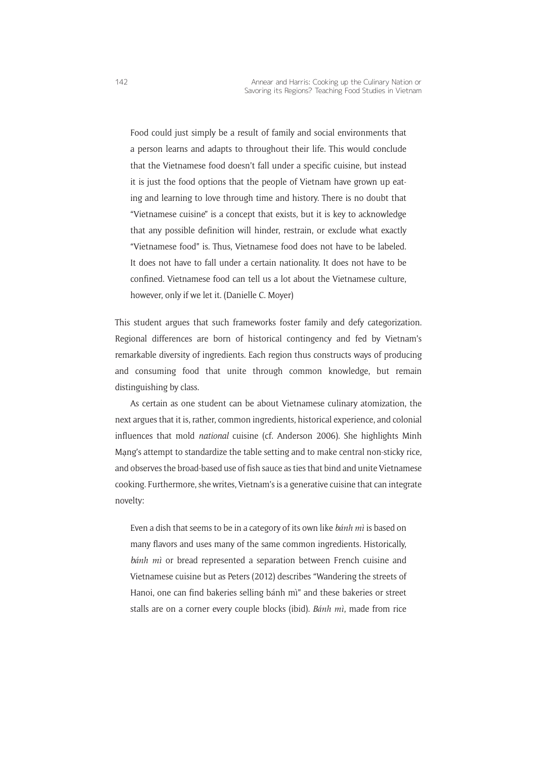Food could just simply be a result of family and social environments that a person learns and adapts to throughout their life. This would conclude that the Vietnamese food doesn't fall under a specific cuisine, but instead it is just the food options that the people of Vietnam have grown up eating and learning to love through time and history. There is no doubt that "Vietnamese cuisine" is a concept that exists, but it is key to acknowledge that any possible definition will hinder, restrain, or exclude what exactly "Vietnamese food" is. Thus, Vietnamese food does not have to be labeled. It does not have to fall under a certain nationality. It does not have to be confined. Vietnamese food can tell us a lot about the Vietnamese culture, however, only if we let it. (Danielle C. Moyer)

This student argues that such frameworks foster family and defy categorization. Regional differences are born of historical contingency and fed by Vietnam's remarkable diversity of ingredients. Each region thus constructs ways of producing and consuming food that unite through common knowledge, but remain distinguishing by class.

As certain as one student can be about Vietnamese culinary atomization, the next argues that it is, rather, common ingredients, historical experience, and colonial influences that mold *national* cuisine (cf. Anderson 2006). She highlights Minh Mạng's attempt to standardize the table setting and to make central non-sticky rice, and observes the broad-based use of fish sauce as ties that bind and unite Vietnamese cooking. Furthermore, she writes, Vietnam's is a generative cuisine that can integrate novelty:

Even a dish that seems to be in a category of its own like *bánh mì* is based on many flavors and uses many of the same common ingredients. Historically, *bánh mì* or bread represented a separation between French cuisine and Vietnamese cuisine but as Peters (2012) describes "Wandering the streets of Hanoi, one can find bakeries selling bánh mì" and these bakeries or street stalls are on a corner every couple blocks (ibid). *Bánh mì*, made from rice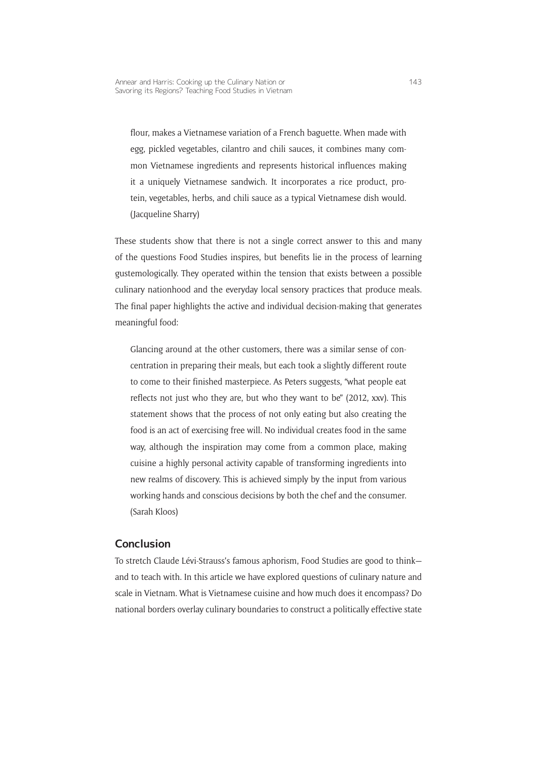flour, makes a Vietnamese variation of a French baguette. When made with egg, pickled vegetables, cilantro and chili sauces, it combines many common Vietnamese ingredients and represents historical influences making it a uniquely Vietnamese sandwich. It incorporates a rice product, protein, vegetables, herbs, and chili sauce as a typical Vietnamese dish would. (Jacqueline Sharry)

These students show that there is not a single correct answer to this and many of the questions Food Studies inspires, but benefits lie in the process of learning gustemologically. They operated within the tension that exists between a possible culinary nationhood and the everyday local sensory practices that produce meals. The final paper highlights the active and individual decision-making that generates meaningful food:

Glancing around at the other customers, there was a similar sense of concentration in preparing their meals, but each took a slightly different route to come to their finished masterpiece. As Peters suggests, "what people eat reflects not just who they are, but who they want to be" (2012, xxv). This statement shows that the process of not only eating but also creating the food is an act of exercising free will. No individual creates food in the same way, although the inspiration may come from a common place, making cuisine a highly personal activity capable of transforming ingredients into new realms of discovery. This is achieved simply by the input from various working hands and conscious decisions by both the chef and the consumer. (Sarah Kloos)

#### **Conclusion**

To stretch Claude Lévi-Strauss's famous aphorism, Food Studies are good to think and to teach with. In this article we have explored questions of culinary nature and scale in Vietnam. What is Vietnamese cuisine and how much does it encompass? Do national borders overlay culinary boundaries to construct a politically effective state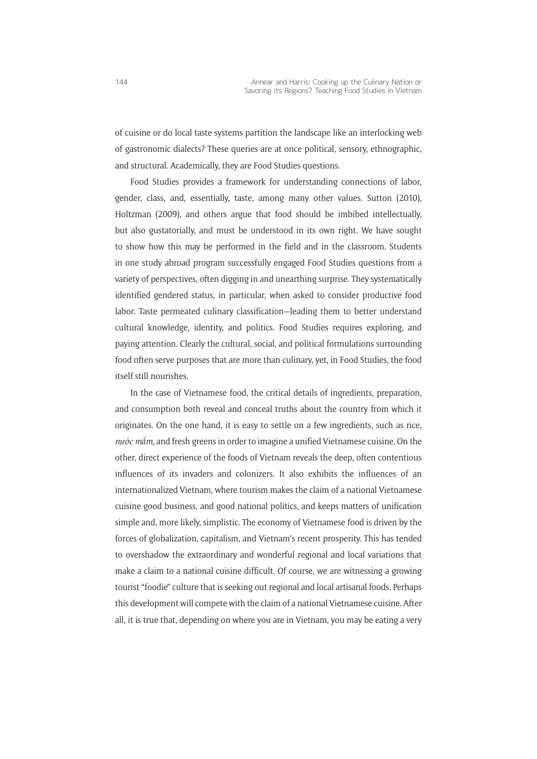of cuisine or do local taste systems partition the landscape like an interlocking web of gastronomic dialects? These queries are at once political, sensory, ethnographic, and structural. Academically, they are Food Studies questions.

Food Studies provides a framework for understanding connections of labor, gender, class, and, essentially, taste, among many other values. Sutton (2010), Holtzman (2009), and others argue that food should be imbibed intellectually, but also gustatorially, and must be understood in its own right. We have sought to show how this may be performed in the field and in the classroom. Students in one study abroad program successfully engaged Food Studies questions from a variety of perspectives, often digging in and unearthing surprise. They systematically identified gendered status, in particular, when asked to consider productive food labor. Taste permeated culinary classification—leading them to better understand cultural knowledge, identity, and politics. Food Studies requires exploring, and paying attention. Clearly the cultural, social, and political formulations surrounding food often serve purposes that are more than culinary, yet, in Food Studies, the food itself still nourishes.

In the case of Vietnamese food, the critical details of ingredients, preparation, and consumption both reveal and conceal truths about the country from which it originates. On the one hand, it is easy to settle on a few ingredients, such as rice, *nước mắm*, and fresh greens in order to imagine a unified Vietnamese cuisine. On the other, direct experience of the foods of Vietnam reveals the deep, often contentious influences of its invaders and colonizers. It also exhibits the influences of an internationalized Vietnam, where tourism makes the claim of a national Vietnamese cuisine good business, and good national politics, and keeps matters of unification simple and, more likely, simplistic. The economy of Vietnamese food is driven by the forces of globalization, capitalism, and Vietnam's recent prosperity. This has tended to overshadow the extraordinary and wonderful regional and local variations that make a claim to a national cuisine difficult. Of course, we are witnessing a growing tourist "foodie" culture that is seeking out regional and local artisanal foods. Perhaps this development will compete with the claim of a national Vietnamese cuisine. After all, it is true that, depending on where you are in Vietnam, you may be eating a very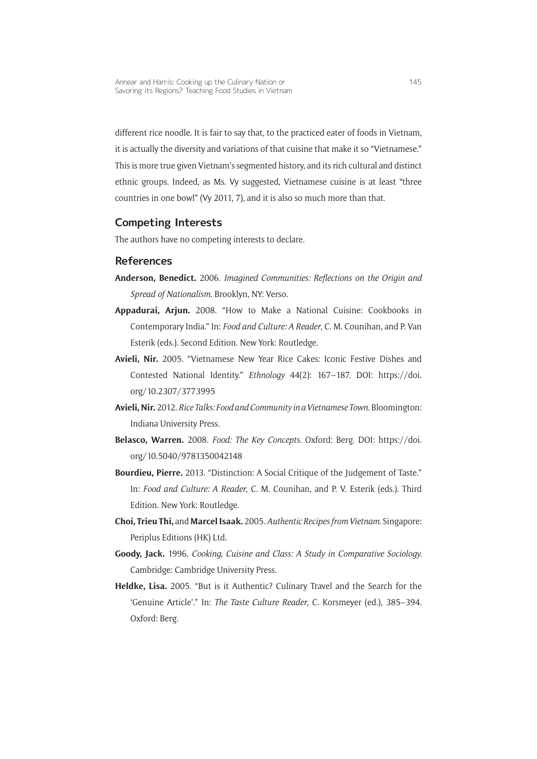different rice noodle. It is fair to say that, to the practiced eater of foods in Vietnam, it is actually the diversity and variations of that cuisine that make it so "Vietnamese." This is more true given Vietnam's segmented history, and its rich cultural and distinct ethnic groups. Indeed, as Ms. Vy suggested, Vietnamese cuisine is at least "three countries in one bowl" (Vy 2011, 7), and it is also so much more than that.

#### **Competing Interests**

The authors have no competing interests to declare.

#### **References**

- **Anderson, Benedict.** 2006. *Imagined Communities: Reflections on the Origin and Spread of Nationalism*. Brooklyn, NY: Verso.
- **Appadurai, Arjun.** 2008. "How to Make a National Cuisine: Cookbooks in Contemporary India." In: *Food and Culture: A Reader*, C. M. Counihan, and P. Van Esterik (eds.). Second Edition. New York: Routledge.
- **Avieli, Nir.** 2005. "Vietnamese New Year Rice Cakes: Iconic Festive Dishes and Contested National Identity." *Ethnology* 44(2): 167–187. DOI: [https://doi.](https://doi.org/10.2307/3773995) [org/10.2307/3773995](https://doi.org/10.2307/3773995)
- **Avieli, Nir.** 2012. *Rice Talks: Food and Community in a Vietnamese Town*. Bloomington: Indiana University Press.
- **Belasco, Warren.** 2008. *Food: The Key Concepts*. Oxford: Berg. DOI: [https://doi.](https://doi.org/10.5040/9781350042148) [org/10.5040/9781350042148](https://doi.org/10.5040/9781350042148)
- **Bourdieu, Pierre.** 2013. "Distinction: A Social Critique of the Judgement of Taste." In: *Food and Culture: A Reader*, C. M. Counihan, and P. V. Esterik (eds.). Third Edition. New York: Routledge.
- **Choi, Trieu Thi,** and **Marcel Isaak.** 2005. *Authentic Recipes from Vietnam.* Singapore: Periplus Editions (HK) Ltd.
- **Goody, Jack.** 1996. *Cooking, Cuisine and Class: A Study in Comparative Sociology.*  Cambridge: Cambridge University Press.
- **Heldke, Lisa.** 2005. "But is it Authentic? Culinary Travel and the Search for the 'Genuine Article'." In: *The Taste Culture Reader*, C. Korsmeyer (ed.), 385–394. Oxford: Berg.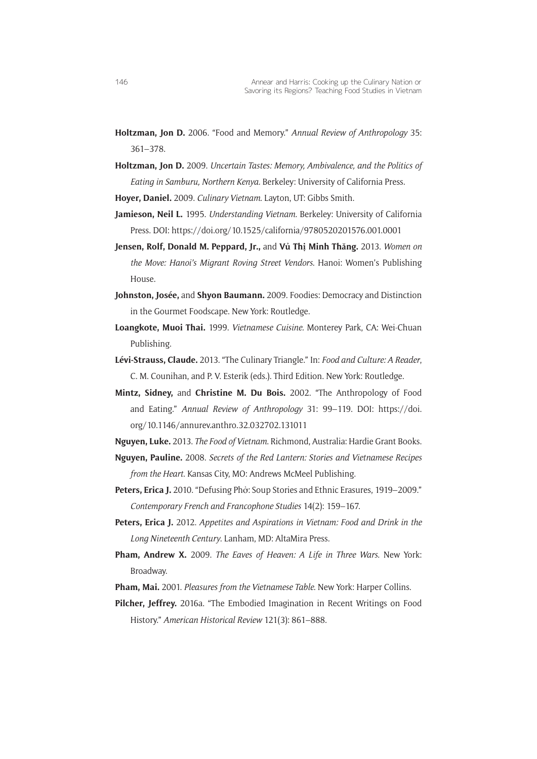- **Holtzman, Jon D.** 2006. "Food and Memory." *Annual Review of Anthropology* 35: 361–378.
- **Holtzman, Jon D.** 2009. *Uncertain Tastes: Memory, Ambivalence, and the Politics of Eating in Samburu, Northern Kenya.* Berkeley: University of California Press.

**Hoyer, Daniel.** 2009. *Culinary Vietnam*. Layton, UT: Gibbs Smith.

- **Jamieson, Neil L.** 1995. *Understanding Vietnam.* Berkeley: University of California Press. DOI:<https://doi.org/10.1525/california/9780520201576.001.0001>
- **Jensen, Rolf, Donald M. Peppard, Jr.,** and **Vủ Thị Minh Thăng.** 2013. *Women on the Move: Hanoi's Migrant Roving Street Vendors*. Hanoi: Women's Publishing House.
- **Johnston, Josée,** and **Shyon Baumann.** 2009. Foodies: Democracy and Distinction in the Gourmet Foodscape. New York: Routledge.
- **Loangkote, Muoi Thai.** 1999. *Vietnamese Cuisine.* Monterey Park, CA: Wei-Chuan Publishing.
- **Lévi-Strauss, Claude.** 2013. "The Culinary Triangle." In: *Food and Culture: A Reader*, C. M. Counihan, and P. V. Esterik (eds.). Third Edition. New York: Routledge.
- **Mintz, Sidney,** and **Christine M. Du Bois.** 2002. "The Anthropology of Food and Eating." *Annual Review of Anthropology* 31: 99–119. DOI: [https://doi.](https://doi.org/10.1146/annurev.anthro.32.032702.131011) [org/10.1146/annurev.anthro.32.032702.131011](https://doi.org/10.1146/annurev.anthro.32.032702.131011)
- **Nguyen, Luke.** 2013. *The Food of Vietnam*. Richmond, Australia: Hardie Grant Books.
- **Nguyen, Pauline.** 2008. *Secrets of the Red Lantern: Stories and Vietnamese Recipes from the Heart*. Kansas City, MO: Andrews McMeel Publishing.
- **Peters, Erica J.** 2010. "Defusing Phở: Soup Stories and Ethnic Erasures, 1919–2009." *Contemporary French and Francophone Studies* 14(2): 159–167.
- **Peters, Erica J.** 2012. *Appetites and Aspirations in Vietnam: Food and Drink in the Long Nineteenth Century*. Lanham, MD: AltaMira Press.
- **Pham, Andrew X.** 2009. *The Eaves of Heaven: A Life in Three Wars*. New York: Broadway.
- **Pham, Mai.** 2001. *Pleasures from the Vietnamese Table*. New York: Harper Collins.
- **Pilcher, Jeffrey.** 2016a. "The Embodied Imagination in Recent Writings on Food History." *American Historical Review* 121(3): 861–888.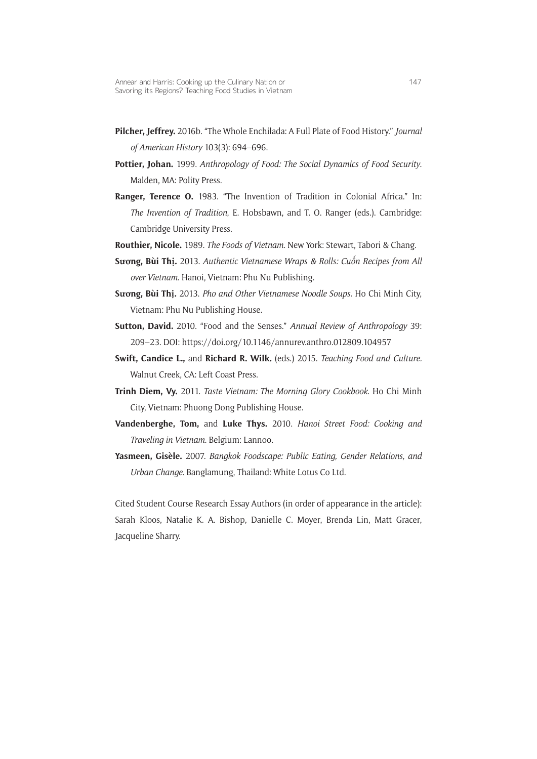- **Pilcher, Jeffrey.** 2016b. "The Whole Enchilada: A Full Plate of Food History." *Journal of American History* 103(3): 694–696.
- **Pottier, Johan.** 1999. *Anthropology of Food: The Social Dynamics of Food Security*. Malden, MA: Polity Press.
- **Ranger, Terence O.** 1983. "The Invention of Tradition in Colonial Africa." In: *The Invention of Tradition*, E. Hobsbawn, and T. O. Ranger (eds.). Cambridge: Cambridge University Press.
- **Routhier, Nicole.** 1989. *The Foods of Vietnam.* New York: Stewart, Tabori & Chang.
- **Sương, Bùi Thị.** 2013. *Authentic Vietnamese Wraps & Rolls: Cuô´n Recipes from All over Vietnam*. Hanoi, Vietnam: Phu Nu Publishing.
- **Sương, Bùi Thị.** 2013. *Pho and Other Vietnamese Noodle Soups.* Ho Chi Minh City, Vietnam: Phu Nu Publishing House.
- **Sutton, David.** 2010. "Food and the Senses." *Annual Review of Anthropology* 39: 209–23. DOI: <https://doi.org/10.1146/annurev.anthro.012809.104957>
- **Swift, Candice L.,** and **Richard R. Wilk.** (eds.) 2015. *Teaching Food and Culture.* Walnut Creek, CA: Left Coast Press.
- **Trinh Diem, Vy.** 2011. *Taste Vietnam: The Morning Glory Cookbook*. Ho Chi Minh City, Vietnam: Phuong Dong Publishing House.
- **Vandenberghe, Tom,** and **Luke Thys.** 2010. *Hanoi Street Food: Cooking and Traveling in Vietnam*. Belgium: Lannoo.
- **Yasmeen, Gisèle.** 2007. *Bangkok Foodscape: Public Eating, Gender Relations, and Urban Change*. Banglamung, Thailand: White Lotus Co Ltd.

Cited Student Course Research Essay Authors (in order of appearance in the article): Sarah Kloos, Natalie K. A. Bishop, Danielle C. Moyer, Brenda Lin, Matt Gracer, Jacqueline Sharry.